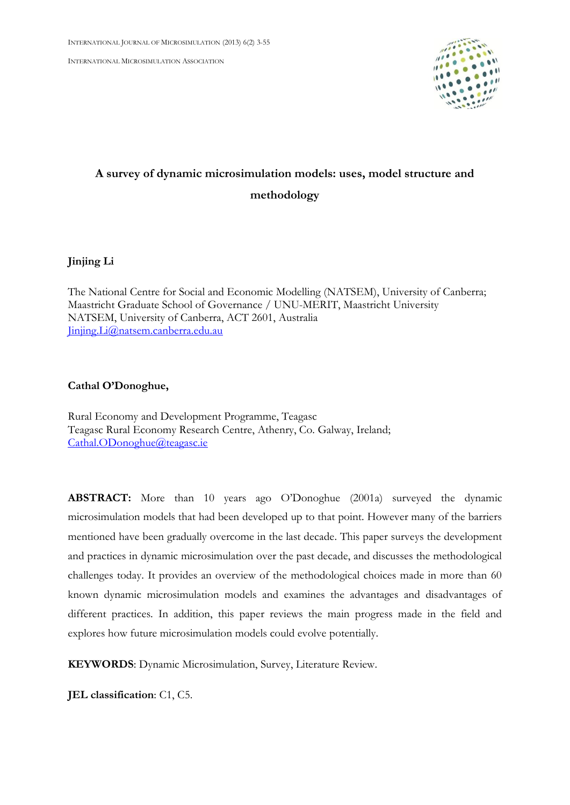INTERNATIONAL MICROSIMULATION ASSOCIATION



# **A survey of dynamic microsimulation models: uses, model structure and methodology**

**Jinjing Li**

The National Centre for Social and Economic Modelling (NATSEM), University of Canberra; Maastricht Graduate School of Governance / UNU-MERIT, Maastricht University NATSEM, University of Canberra, ACT 2601, Australia [Jinjing.Li@natsem.canberra.edu.au](mailto:Jinjing.Li@natsem.canberra.edu.au)

# **Cathal O'Donoghue,**

Rural Economy and Development Programme, Teagasc Teagasc Rural Economy Research Centre, Athenry, Co. Galway, Ireland; [Cathal.ODonoghue@teagasc.ie](mailto:Cathal.ODonoghue@teagasc.ie)

**ABSTRACT:** More than 10 years ago O'Donoghue (2001a) surveyed the dynamic microsimulation models that had been developed up to that point. However many of the barriers mentioned have been gradually overcome in the last decade. This paper surveys the development and practices in dynamic microsimulation over the past decade, and discusses the methodological challenges today. It provides an overview of the methodological choices made in more than 60 known dynamic microsimulation models and examines the advantages and disadvantages of different practices. In addition, this paper reviews the main progress made in the field and explores how future microsimulation models could evolve potentially.

**KEYWORDS**: Dynamic Microsimulation, Survey, Literature Review.

**JEL classification**: C1, C5.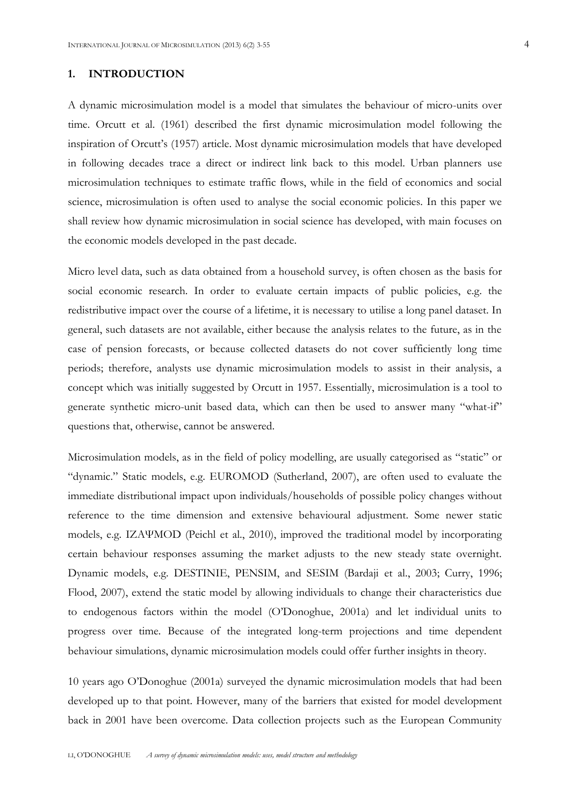## **1. INTRODUCTION**

A dynamic microsimulation model is a model that simulates the behaviour of micro-units over time. Orcutt et al. (1961) described the first dynamic microsimulation model following the inspiration of Orcutt's (1957) article. Most dynamic microsimulation models that have developed in following decades trace a direct or indirect link back to this model. Urban planners use microsimulation techniques to estimate traffic flows, while in the field of economics and social science, microsimulation is often used to analyse the social economic policies. In this paper we shall review how dynamic microsimulation in social science has developed, with main focuses on the economic models developed in the past decade.

Micro level data, such as data obtained from a household survey, is often chosen as the basis for social economic research. In order to evaluate certain impacts of public policies, e.g. the redistributive impact over the course of a lifetime, it is necessary to utilise a long panel dataset. In general, such datasets are not available, either because the analysis relates to the future, as in the case of pension forecasts, or because collected datasets do not cover sufficiently long time periods; therefore, analysts use dynamic microsimulation models to assist in their analysis, a concept which was initially suggested by Orcutt in 1957. Essentially, microsimulation is a tool to generate synthetic micro-unit based data, which can then be used to answer many "what-if" questions that, otherwise, cannot be answered.

Microsimulation models, as in the field of policy modelling, are usually categorised as "static" or "dynamic." Static models, e.g. EUROMOD (Sutherland, 2007), are often used to evaluate the immediate distributional impact upon individuals/households of possible policy changes without reference to the time dimension and extensive behavioural adjustment. Some newer static models, e.g. IZAΨMOD (Peichl et al., 2010), improved the traditional model by incorporating certain behaviour responses assuming the market adjusts to the new steady state overnight. Dynamic models, e.g. DESTINIE, PENSIM, and SESIM (Bardaji et al., 2003; Curry, 1996; Flood, 2007), extend the static model by allowing individuals to change their characteristics due to endogenous factors within the model (O'Donoghue, 2001a) and let individual units to progress over time. Because of the integrated long-term projections and time dependent behaviour simulations, dynamic microsimulation models could offer further insights in theory.

10 years ago O'Donoghue (2001a) surveyed the dynamic microsimulation models that had been developed up to that point. However, many of the barriers that existed for model development back in 2001 have been overcome. Data collection projects such as the European Community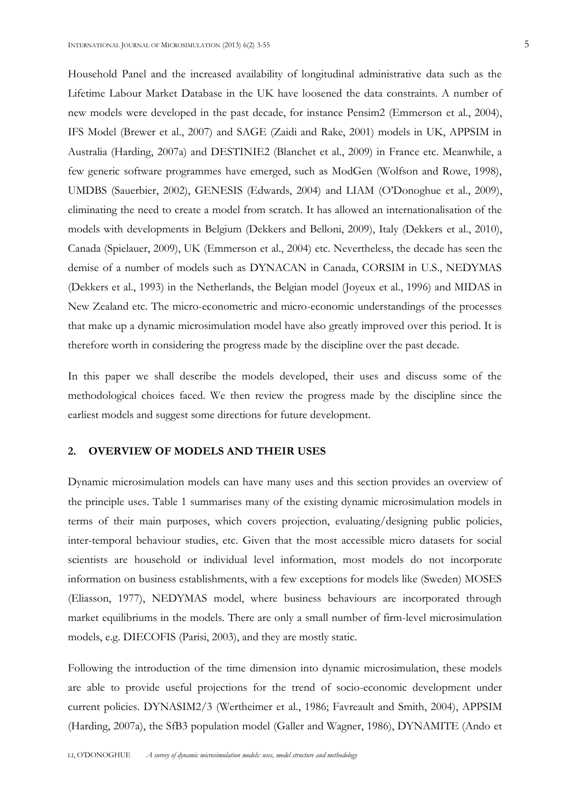Household Panel and the increased availability of longitudinal administrative data such as the Lifetime Labour Market Database in the UK have loosened the data constraints. A number of new models were developed in the past decade, for instance Pensim2 (Emmerson et al., 2004), IFS Model (Brewer et al., 2007) and SAGE (Zaidi and Rake, 2001) models in UK, APPSIM in Australia (Harding, 2007a) and DESTINIE2 (Blanchet et al., 2009) in France etc. Meanwhile, a few generic software programmes have emerged, such as ModGen (Wolfson and Rowe, 1998), UMDBS (Sauerbier, 2002), GENESIS (Edwards, 2004) and LIAM (O'Donoghue et al., 2009), eliminating the need to create a model from scratch. It has allowed an internationalisation of the models with developments in Belgium (Dekkers and Belloni, 2009), Italy (Dekkers et al., 2010), Canada (Spielauer, 2009), UK (Emmerson et al., 2004) etc. Nevertheless, the decade has seen the demise of a number of models such as DYNACAN in Canada, CORSIM in U.S., NEDYMAS (Dekkers et al., 1993) in the Netherlands, the Belgian model (Joyeux et al., 1996) and MIDAS in New Zealand etc. The micro-econometric and micro-economic understandings of the processes that make up a dynamic microsimulation model have also greatly improved over this period. It is therefore worth in considering the progress made by the discipline over the past decade.

In this paper we shall describe the models developed, their uses and discuss some of the methodological choices faced. We then review the progress made by the discipline since the earliest models and suggest some directions for future development.

#### **2. OVERVIEW OF MODELS AND THEIR USES**

Dynamic microsimulation models can have many uses and this section provides an overview of the principle uses. Table 1 summarises many of the existing dynamic microsimulation models in terms of their main purposes, which covers projection, evaluating/designing public policies, inter-temporal behaviour studies, etc. Given that the most accessible micro datasets for social scientists are household or individual level information, most models do not incorporate information on business establishments, with a few exceptions for models like (Sweden) MOSES (Eliasson, 1977), NEDYMAS model, where business behaviours are incorporated through market equilibriums in the models. There are only a small number of firm-level microsimulation models, e.g. DIECOFIS (Parisi, 2003), and they are mostly static.

Following the introduction of the time dimension into dynamic microsimulation, these models are able to provide useful projections for the trend of socio-economic development under current policies. DYNASIM2/3 (Wertheimer et al., 1986; Favreault and Smith, 2004), APPSIM (Harding, 2007a), the SfB3 population model (Galler and Wagner, 1986), DYNAMITE (Ando et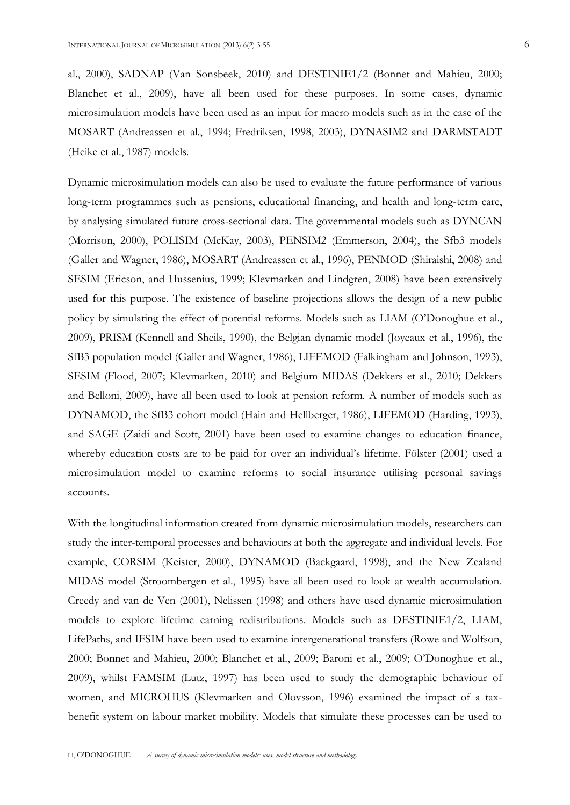al., 2000), SADNAP (Van Sonsbeek, 2010) and DESTINIE1/2 (Bonnet and Mahieu, 2000; Blanchet et al., 2009), have all been used for these purposes. In some cases, dynamic microsimulation models have been used as an input for macro models such as in the case of the MOSART (Andreassen et al., 1994; Fredriksen, 1998, 2003), DYNASIM2 and DARMSTADT (Heike et al., 1987) models.

Dynamic microsimulation models can also be used to evaluate the future performance of various long-term programmes such as pensions, educational financing, and health and long-term care, by analysing simulated future cross-sectional data. The governmental models such as DYNCAN (Morrison, 2000), POLISIM (McKay, 2003), PENSIM2 (Emmerson, 2004), the Sfb3 models (Galler and Wagner, 1986), MOSART (Andreassen et al., 1996), PENMOD (Shiraishi, 2008) and SESIM (Ericson, and Hussenius, 1999; Klevmarken and Lindgren, 2008) have been extensively used for this purpose. The existence of baseline projections allows the design of a new public policy by simulating the effect of potential reforms. Models such as LIAM (O'Donoghue et al., 2009), PRISM (Kennell and Sheils, 1990), the Belgian dynamic model (Joyeaux et al., 1996), the SfB3 population model (Galler and Wagner, 1986), LIFEMOD (Falkingham and Johnson, 1993), SESIM (Flood, 2007; Klevmarken, 2010) and Belgium MIDAS (Dekkers et al., 2010; Dekkers and Belloni, 2009), have all been used to look at pension reform. A number of models such as DYNAMOD, the SfB3 cohort model (Hain and Hellberger, 1986), LIFEMOD (Harding, 1993), and SAGE (Zaidi and Scott, 2001) have been used to examine changes to education finance, whereby education costs are to be paid for over an individual's lifetime. Fölster (2001) used a microsimulation model to examine reforms to social insurance utilising personal savings accounts.

With the longitudinal information created from dynamic microsimulation models, researchers can study the inter-temporal processes and behaviours at both the aggregate and individual levels. For example, CORSIM (Keister, 2000), DYNAMOD (Baekgaard, 1998), and the New Zealand MIDAS model (Stroombergen et al., 1995) have all been used to look at wealth accumulation. Creedy and van de Ven (2001), Nelissen (1998) and others have used dynamic microsimulation models to explore lifetime earning redistributions. Models such as DESTINIE1/2, LIAM, LifePaths, and IFSIM have been used to examine intergenerational transfers (Rowe and Wolfson, 2000; Bonnet and Mahieu, 2000; Blanchet et al., 2009; Baroni et al., 2009; O'Donoghue et al., 2009), whilst FAMSIM (Lutz, 1997) has been used to study the demographic behaviour of women, and MICROHUS (Klevmarken and Olovsson, 1996) examined the impact of a taxbenefit system on labour market mobility. Models that simulate these processes can be used to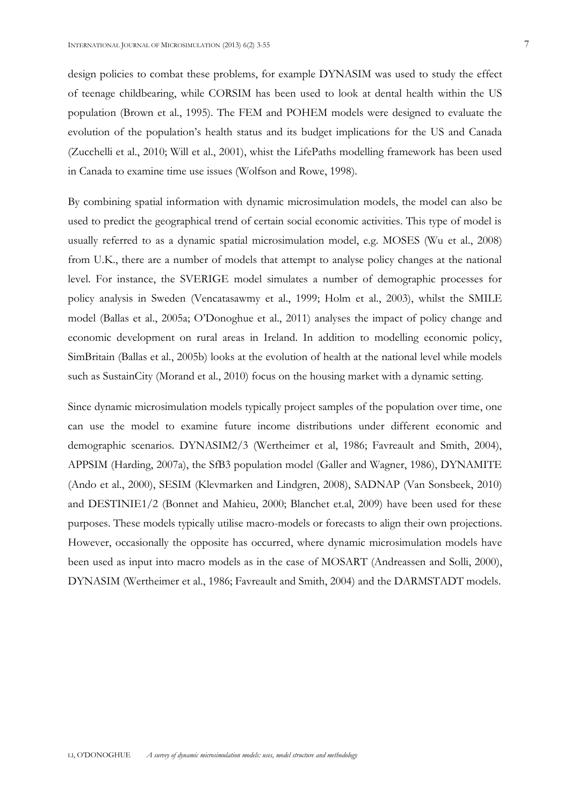design policies to combat these problems, for example DYNASIM was used to study the effect of teenage childbearing, while CORSIM has been used to look at dental health within the US population (Brown et al., 1995). The FEM and POHEM models were designed to evaluate the evolution of the population's health status and its budget implications for the US and Canada (Zucchelli et al., 2010; Will et al., 2001), whist the LifePaths modelling framework has been used in Canada to examine time use issues (Wolfson and Rowe, 1998).

By combining spatial information with dynamic microsimulation models, the model can also be used to predict the geographical trend of certain social economic activities. This type of model is usually referred to as a dynamic spatial microsimulation model, e.g. MOSES (Wu et al., 2008) from U.K., there are a number of models that attempt to analyse policy changes at the national level. For instance, the SVERIGE model simulates a number of demographic processes for policy analysis in Sweden (Vencatasawmy et al., 1999; Holm et al., 2003), whilst the SMILE model (Ballas et al., 2005a; O'Donoghue et al., 2011) analyses the impact of policy change and economic development on rural areas in Ireland. In addition to modelling economic policy, SimBritain (Ballas et al., 2005b) looks at the evolution of health at the national level while models such as SustainCity (Morand et al., 2010) focus on the housing market with a dynamic setting.

Since dynamic microsimulation models typically project samples of the population over time, one can use the model to examine future income distributions under different economic and demographic scenarios. DYNASIM2/3 (Wertheimer et al, 1986; Favreault and Smith, 2004), APPSIM (Harding, 2007a), the SfB3 population model (Galler and Wagner, 1986), DYNAMITE (Ando et al., 2000), SESIM (Klevmarken and Lindgren, 2008), SADNAP (Van Sonsbeek, 2010) and DESTINIE1/2 (Bonnet and Mahieu, 2000; Blanchet et.al, 2009) have been used for these purposes. These models typically utilise macro-models or forecasts to align their own projections. However, occasionally the opposite has occurred, where dynamic microsimulation models have been used as input into macro models as in the case of MOSART (Andreassen and Solli, 2000), DYNASIM (Wertheimer et al., 1986; Favreault and Smith, 2004) and the DARMSTADT models.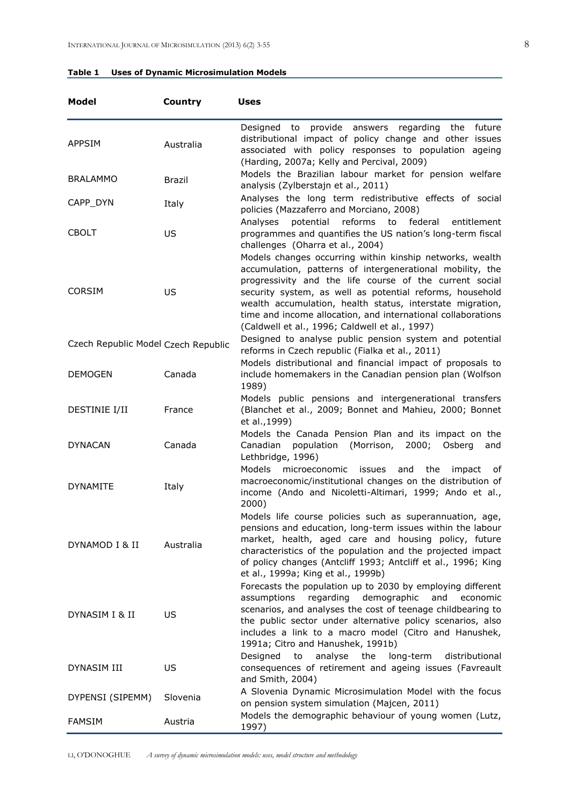| Model                               | Country       | Uses                                                                                                                                                                                                                                                                                                                                                            |
|-------------------------------------|---------------|-----------------------------------------------------------------------------------------------------------------------------------------------------------------------------------------------------------------------------------------------------------------------------------------------------------------------------------------------------------------|
| <b>APPSIM</b>                       | Australia     | Designed to provide answers<br>regarding<br>future<br>the<br>distributional impact of policy change and other issues<br>associated with policy responses to population ageing<br>(Harding, 2007a; Kelly and Percival, 2009)                                                                                                                                     |
| <b>BRALAMMO</b>                     | <b>Brazil</b> | Models the Brazilian labour market for pension welfare<br>analysis (Zylberstajn et al., 2011)                                                                                                                                                                                                                                                                   |
| CAPP_DYN                            | Italy         | Analyses the long term redistributive effects of social<br>policies (Mazzaferro and Morciano, 2008)                                                                                                                                                                                                                                                             |
| <b>CBOLT</b>                        | US            | reforms<br>federal<br>Analyses<br>potential<br>to<br>entitlement<br>programmes and quantifies the US nation's long-term fiscal<br>challenges (Oharra et al., 2004)<br>Models changes occurring within kinship networks, wealth                                                                                                                                  |
| <b>CORSIM</b>                       | US            | accumulation, patterns of intergenerational mobility, the<br>progressivity and the life course of the current social<br>security system, as well as potential reforms, household<br>wealth accumulation, health status, interstate migration,<br>time and income allocation, and international collaborations<br>(Caldwell et al., 1996; Caldwell et al., 1997) |
| Czech Republic Model Czech Republic |               | Designed to analyse public pension system and potential<br>reforms in Czech republic (Fialka et al., 2011)                                                                                                                                                                                                                                                      |
| <b>DEMOGEN</b>                      | Canada        | Models distributional and financial impact of proposals to<br>include homemakers in the Canadian pension plan (Wolfson<br>1989)                                                                                                                                                                                                                                 |
| DESTINIE I/II                       | France        | Models public pensions and intergenerational transfers<br>(Blanchet et al., 2009; Bonnet and Mahieu, 2000; Bonnet<br>et al., 1999)                                                                                                                                                                                                                              |
| <b>DYNACAN</b>                      | Canada        | Models the Canada Pension Plan and its impact on the<br>Canadian<br>(Morrison,<br>2000;<br>Osberg<br>population<br>and<br>Lethbridge, 1996)                                                                                                                                                                                                                     |
| <b>DYNAMITE</b>                     | Italy         | Models<br>microeconomic<br>the<br>issues<br>and<br>impact<br>of<br>macroeconomic/institutional changes on the distribution of<br>income (Ando and Nicoletti-Altimari, 1999; Ando et al.,<br>2000)                                                                                                                                                               |
| DYNAMOD I & II                      | Australia     | Models life course policies such as superannuation, age,<br>pensions and education, long-term issues within the labour<br>market, health, aged care and housing policy, future<br>characteristics of the population and the projected impact<br>of policy changes (Antcliff 1993; Antcliff et al., 1996; King<br>et al., 1999a; King et al., 1999b)             |
| DYNASIM I & II                      | US            | Forecasts the population up to 2030 by employing different<br>demographic<br>assumptions<br>regarding<br>and<br>economic<br>scenarios, and analyses the cost of teenage childbearing to<br>the public sector under alternative policy scenarios, also<br>includes a link to a macro model (Citro and Hanushek,<br>1991a; Citro and Hanushek, 1991b)             |
| DYNASIM III                         | US            | Designed<br>analyse<br>the<br>to<br>long-term<br>distributional<br>consequences of retirement and ageing issues (Favreault<br>and Smith, 2004)                                                                                                                                                                                                                  |
| DYPENSI (SIPEMM)                    | Slovenia      | A Slovenia Dynamic Microsimulation Model with the focus<br>on pension system simulation (Majcen, 2011)                                                                                                                                                                                                                                                          |
| <b>FAMSIM</b>                       | Austria       | Models the demographic behaviour of young women (Lutz,<br>1997)                                                                                                                                                                                                                                                                                                 |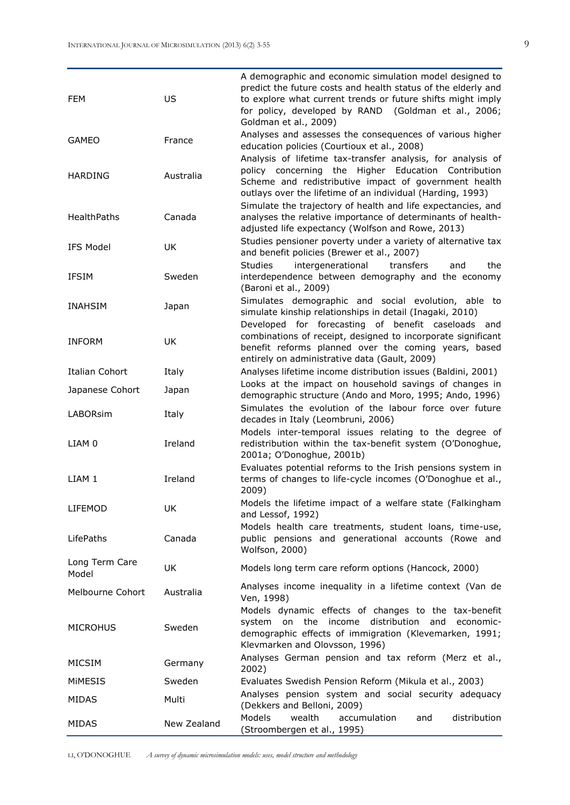| <b>FEM</b>              | US          | A demographic and economic simulation model designed to<br>predict the future costs and health status of the elderly and<br>to explore what current trends or future shifts might imply<br>for policy, developed by RAND (Goldman et al., 2006;<br>Goldman et al., 2009)                                  |
|-------------------------|-------------|-----------------------------------------------------------------------------------------------------------------------------------------------------------------------------------------------------------------------------------------------------------------------------------------------------------|
| <b>GAMEO</b>            | France      | Analyses and assesses the consequences of various higher<br>education policies (Courtioux et al., 2008)                                                                                                                                                                                                   |
| <b>HARDING</b>          | Australia   | Analysis of lifetime tax-transfer analysis, for analysis of<br>policy concerning the Higher Education Contribution<br>Scheme and redistributive impact of government health<br>outlays over the lifetime of an individual (Harding, 1993)<br>Simulate the trajectory of health and life expectancies, and |
| <b>HealthPaths</b>      | Canada      | analyses the relative importance of determinants of health-<br>adjusted life expectancy (Wolfson and Rowe, 2013)                                                                                                                                                                                          |
| <b>IFS Model</b>        | UK          | Studies pensioner poverty under a variety of alternative tax<br>and benefit policies (Brewer et al., 2007)                                                                                                                                                                                                |
| <b>IFSIM</b>            | Sweden      | <b>Studies</b><br>intergenerational<br>transfers<br>and<br>the<br>interdependence between demography and the economy<br>(Baroni et al., 2009)                                                                                                                                                             |
| <b>INAHSIM</b>          | Japan       | Simulates demographic and social evolution, able to<br>simulate kinship relationships in detail (Inagaki, 2010)                                                                                                                                                                                           |
| <b>INFORM</b>           | UK          | Developed for forecasting of benefit caseloads and<br>combinations of receipt, designed to incorporate significant<br>benefit reforms planned over the coming years, based<br>entirely on administrative data (Gault, 2009)                                                                               |
| Italian Cohort          | Italy       | Analyses lifetime income distribution issues (Baldini, 2001)                                                                                                                                                                                                                                              |
| Japanese Cohort         | Japan       | Looks at the impact on household savings of changes in<br>demographic structure (Ando and Moro, 1995; Ando, 1996)                                                                                                                                                                                         |
| <b>LABORsim</b>         | Italy       | Simulates the evolution of the labour force over future<br>decades in Italy (Leombruni, 2006)                                                                                                                                                                                                             |
| LIAM 0                  | Ireland     | Models inter-temporal issues relating to the degree of<br>redistribution within the tax-benefit system (O'Donoghue,<br>2001a; O'Donoghue, 2001b)                                                                                                                                                          |
| LIAM 1                  | Ireland     | Evaluates potential reforms to the Irish pensions system in<br>terms of changes to life-cycle incomes (O'Donoghue et al.,<br>2009)                                                                                                                                                                        |
| LIFEMOD                 | UK          | Models the lifetime impact of a welfare state (Falkingham<br>and Lessof, 1992)                                                                                                                                                                                                                            |
| LifePaths               | Canada      | Models health care treatments, student loans, time-use,<br>public pensions and generational accounts (Rowe and<br>Wolfson, 2000)                                                                                                                                                                          |
| Long Term Care<br>Model | UK          | Models long term care reform options (Hancock, 2000)                                                                                                                                                                                                                                                      |
| Melbourne Cohort        | Australia   | Analyses income inequality in a lifetime context (Van de<br>Ven, 1998)                                                                                                                                                                                                                                    |
| <b>MICROHUS</b>         | Sweden      | Models dynamic effects of changes to the tax-benefit<br>distribution<br>on<br>the income<br>and<br>system<br>economic-<br>demographic effects of immigration (Klevemarken, 1991;<br>Klevmarken and Olovsson, 1996)                                                                                        |
| MICSIM                  | Germany     | Analyses German pension and tax reform (Merz et al.,<br>2002)                                                                                                                                                                                                                                             |
| MIMESIS                 | Sweden      | Evaluates Swedish Pension Reform (Mikula et al., 2003)                                                                                                                                                                                                                                                    |
| MIDAS                   | Multi       | Analyses pension system and social security adequacy<br>(Dekkers and Belloni, 2009)                                                                                                                                                                                                                       |
| MIDAS                   | New Zealand | Models<br>wealth<br>distribution<br>accumulation<br>and<br>(Stroombergen et al., 1995)                                                                                                                                                                                                                    |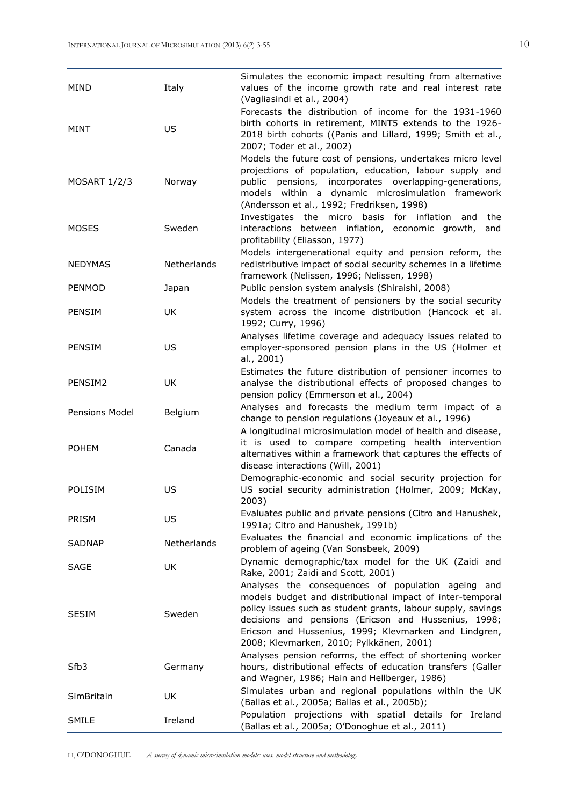| MIND                | Italy       | Simulates the economic impact resulting from alternative<br>values of the income growth rate and real interest rate<br>(Vagliasindi et al., 2004)                                                                                                                                                                                            |
|---------------------|-------------|----------------------------------------------------------------------------------------------------------------------------------------------------------------------------------------------------------------------------------------------------------------------------------------------------------------------------------------------|
| MINT                | US          | Forecasts the distribution of income for the 1931-1960<br>birth cohorts in retirement, MINT5 extends to the 1926-<br>2018 birth cohorts ((Panis and Lillard, 1999; Smith et al.,<br>2007; Toder et al., 2002)                                                                                                                                |
| <b>MOSART 1/2/3</b> | Norway      | Models the future cost of pensions, undertakes micro level<br>projections of population, education, labour supply and<br>pensions, incorporates overlapping-generations,<br>public<br>models within a dynamic microsimulation framework<br>(Andersson et al., 1992; Fredriksen, 1998)                                                        |
| <b>MOSES</b>        | Sweden      | Investigates the micro basis for inflation<br>and<br>the<br>interactions between inflation, economic growth,<br>and<br>profitability (Eliasson, 1977)                                                                                                                                                                                        |
| <b>NEDYMAS</b>      | Netherlands | Models intergenerational equity and pension reform, the<br>redistributive impact of social security schemes in a lifetime<br>framework (Nelissen, 1996; Nelissen, 1998)                                                                                                                                                                      |
| <b>PENMOD</b>       | Japan       | Public pension system analysis (Shiraishi, 2008)                                                                                                                                                                                                                                                                                             |
| PENSIM              | UK          | Models the treatment of pensioners by the social security<br>system across the income distribution (Hancock et al.<br>1992; Curry, 1996)                                                                                                                                                                                                     |
| <b>PENSIM</b>       | US          | Analyses lifetime coverage and adequacy issues related to<br>employer-sponsored pension plans in the US (Holmer et<br>al., 2001)                                                                                                                                                                                                             |
| PENSIM2             | UK          | Estimates the future distribution of pensioner incomes to<br>analyse the distributional effects of proposed changes to<br>pension policy (Emmerson et al., 2004)                                                                                                                                                                             |
| Pensions Model      | Belgium     | Analyses and forecasts the medium term impact of a<br>change to pension regulations (Joyeaux et al., 1996)                                                                                                                                                                                                                                   |
| <b>POHEM</b>        | Canada      | A longitudinal microsimulation model of health and disease,<br>it is used to compare competing health intervention<br>alternatives within a framework that captures the effects of<br>disease interactions (Will, 2001)                                                                                                                      |
| POLISIM             | US          | Demographic-economic and social security projection for<br>US social security administration (Holmer, 2009; McKay,<br>2003)                                                                                                                                                                                                                  |
| PRISM               | US          | Evaluates public and private pensions (Citro and Hanushek,<br>1991a; Citro and Hanushek, 1991b)                                                                                                                                                                                                                                              |
| <b>SADNAP</b>       | Netherlands | Evaluates the financial and economic implications of the<br>problem of ageing (Van Sonsbeek, 2009)                                                                                                                                                                                                                                           |
| SAGE                | UK          | Dynamic demographic/tax model for the UK (Zaidi and<br>Rake, 2001; Zaidi and Scott, 2001)                                                                                                                                                                                                                                                    |
| <b>SESIM</b>        | Sweden      | Analyses the consequences of population ageing and<br>models budget and distributional impact of inter-temporal<br>policy issues such as student grants, labour supply, savings<br>decisions and pensions (Ericson and Hussenius, 1998;<br>Ericson and Hussenius, 1999; Klevmarken and Lindgren,<br>2008; Klevmarken, 2010; Pylkkänen, 2001) |
| Sfb3                | Germany     | Analyses pension reforms, the effect of shortening worker<br>hours, distributional effects of education transfers (Galler<br>and Wagner, 1986; Hain and Hellberger, 1986)                                                                                                                                                                    |
| SimBritain          | UK          | Simulates urban and regional populations within the UK<br>(Ballas et al., 2005a; Ballas et al., 2005b);                                                                                                                                                                                                                                      |
| SMILE               | Ireland     | Population projections with spatial details for Ireland<br>(Ballas et al., 2005a; O'Donoghue et al., 2011)                                                                                                                                                                                                                                   |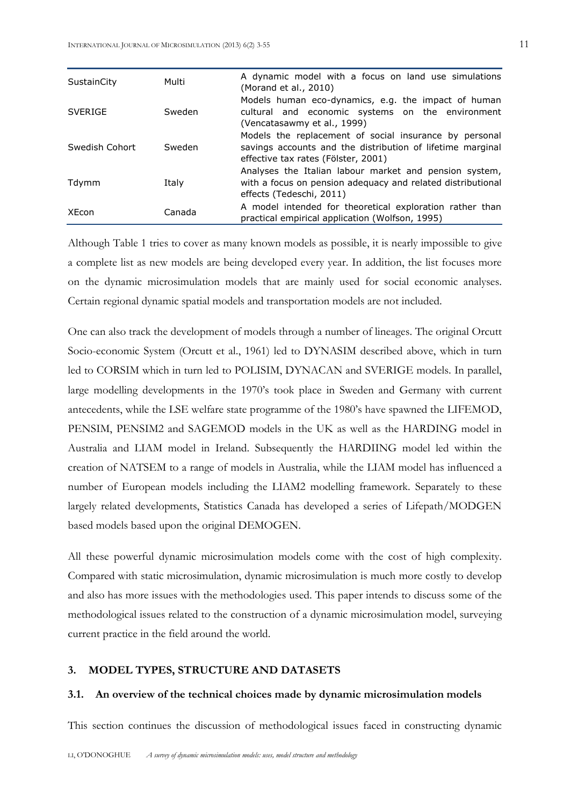| SustainCity    | Multi  | A dynamic model with a focus on land use simulations<br>(Morand et al., 2010)                                                                               |  |  |  |  |  |  |
|----------------|--------|-------------------------------------------------------------------------------------------------------------------------------------------------------------|--|--|--|--|--|--|
| <b>SVERIGE</b> | Sweden | Models human eco-dynamics, e.g. the impact of human<br>cultural and economic systems on the environment<br>(Vencatasawmy et al., 1999)                      |  |  |  |  |  |  |
| Swedish Cohort | Sweden | Models the replacement of social insurance by personal<br>savings accounts and the distribution of lifetime marginal<br>effective tax rates (Fölster, 2001) |  |  |  |  |  |  |
| Tdymm          | Italy  | Analyses the Italian labour market and pension system,<br>with a focus on pension adequacy and related distributional<br>effects (Tedeschi, 2011)           |  |  |  |  |  |  |
| XEcon          | Canada | A model intended for theoretical exploration rather than<br>practical empirical application (Wolfson, 1995)                                                 |  |  |  |  |  |  |

Although Table 1 tries to cover as many known models as possible, it is nearly impossible to give a complete list as new models are being developed every year. In addition, the list focuses more on the dynamic microsimulation models that are mainly used for social economic analyses. Certain regional dynamic spatial models and transportation models are not included.

One can also track the development of models through a number of lineages. The original Orcutt Socio-economic System (Orcutt et al., 1961) led to DYNASIM described above, which in turn led to CORSIM which in turn led to POLISIM, DYNACAN and SVERIGE models. In parallel, large modelling developments in the 1970's took place in Sweden and Germany with current antecedents, while the LSE welfare state programme of the 1980's have spawned the LIFEMOD, PENSIM, PENSIM2 and SAGEMOD models in the UK as well as the HARDING model in Australia and LIAM model in Ireland. Subsequently the HARDIING model led within the creation of NATSEM to a range of models in Australia, while the LIAM model has influenced a number of European models including the LIAM2 modelling framework. Separately to these largely related developments, Statistics Canada has developed a series of Lifepath/MODGEN based models based upon the original DEMOGEN.

All these powerful dynamic microsimulation models come with the cost of high complexity. Compared with static microsimulation, dynamic microsimulation is much more costly to develop and also has more issues with the methodologies used. This paper intends to discuss some of the methodological issues related to the construction of a dynamic microsimulation model, surveying current practice in the field around the world.

#### **3. MODEL TYPES, STRUCTURE AND DATASETS**

#### **3.1. An overview of the technical choices made by dynamic microsimulation models**

This section continues the discussion of methodological issues faced in constructing dynamic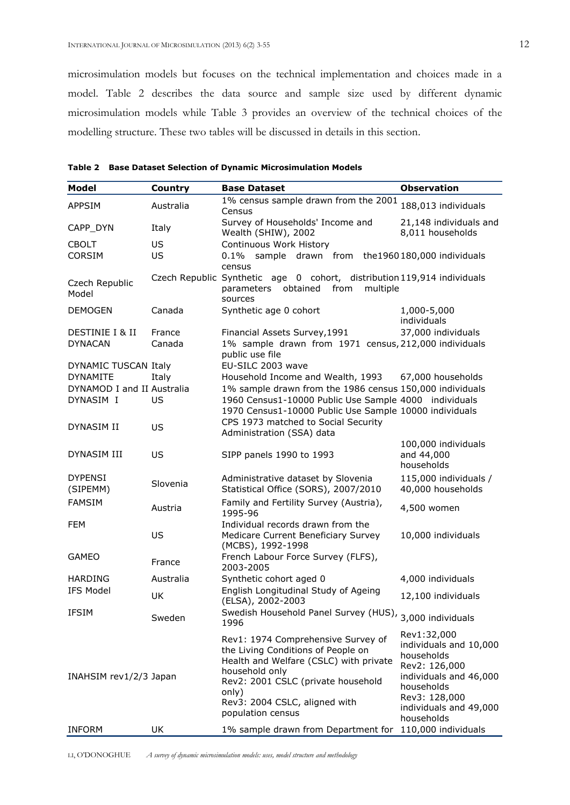microsimulation models but focuses on the technical implementation and choices made in a model. Table 2 describes the data source and sample size used by different dynamic microsimulation models while Table 3 provides an overview of the technical choices of the modelling structure. These two tables will be discussed in details in this section.

| <b>Model</b>               | <b>Country</b> | <b>Base Dataset</b>                                                                                                                                                                                                                       | <b>Observation</b>                                                                                                                                                    |  |
|----------------------------|----------------|-------------------------------------------------------------------------------------------------------------------------------------------------------------------------------------------------------------------------------------------|-----------------------------------------------------------------------------------------------------------------------------------------------------------------------|--|
| <b>APPSIM</b>              | Australia      | 1% census sample drawn from the 2001<br>Census                                                                                                                                                                                            | 188,013 individuals                                                                                                                                                   |  |
| CAPP DYN                   | Italy          | Survey of Households' Income and<br>Wealth (SHIW), 2002                                                                                                                                                                                   | 21,148 individuals and<br>8,011 households                                                                                                                            |  |
| <b>CBOLT</b>               | US             | Continuous Work History                                                                                                                                                                                                                   |                                                                                                                                                                       |  |
| <b>CORSIM</b>              | US             | 0.1% sample drawn from the1960180,000 individuals<br>census                                                                                                                                                                               |                                                                                                                                                                       |  |
| Czech Republic<br>Model    |                | Czech Republic Synthetic age 0 cohort, distribution 119,914 individuals<br>multiple<br>obtained<br>from<br>parameters<br>sources                                                                                                          |                                                                                                                                                                       |  |
| <b>DEMOGEN</b>             | Canada         | Synthetic age 0 cohort                                                                                                                                                                                                                    | 1,000-5,000<br>individuals                                                                                                                                            |  |
| DESTINIE I & II            | France         | Financial Assets Survey, 1991                                                                                                                                                                                                             | 37,000 individuals                                                                                                                                                    |  |
| <b>DYNACAN</b>             | Canada         | 1% sample drawn from 1971 census, 212,000 individuals<br>public use file                                                                                                                                                                  |                                                                                                                                                                       |  |
| DYNAMIC TUSCAN Italy       |                | EU-SILC 2003 wave                                                                                                                                                                                                                         |                                                                                                                                                                       |  |
| <b>DYNAMITE</b>            | Italy          | Household Income and Wealth, 1993                                                                                                                                                                                                         | 67,000 households                                                                                                                                                     |  |
| DYNAMOD I and II Australia |                | 1% sample drawn from the 1986 census 150,000 individuals                                                                                                                                                                                  |                                                                                                                                                                       |  |
| DYNASIM I                  | US             | 1960 Census1-10000 Public Use Sample 4000 individuals<br>1970 Census1-10000 Public Use Sample 10000 individuals                                                                                                                           |                                                                                                                                                                       |  |
|                            |                | CPS 1973 matched to Social Security                                                                                                                                                                                                       |                                                                                                                                                                       |  |
| DYNASIM II                 | US             | Administration (SSA) data                                                                                                                                                                                                                 |                                                                                                                                                                       |  |
|                            |                |                                                                                                                                                                                                                                           | 100,000 individuals                                                                                                                                                   |  |
| DYNASIM III                | US             | SIPP panels 1990 to 1993                                                                                                                                                                                                                  | and 44,000<br>households                                                                                                                                              |  |
| <b>DYPENSI</b><br>(SIPEMM) | Slovenia       | Administrative dataset by Slovenia<br>Statistical Office (SORS), 2007/2010                                                                                                                                                                | 115,000 individuals /<br>40,000 households                                                                                                                            |  |
| <b>FAMSIM</b>              | Austria        | Family and Fertility Survey (Austria),<br>1995-96                                                                                                                                                                                         | 4,500 women                                                                                                                                                           |  |
| <b>FEM</b>                 | US             | Individual records drawn from the<br>Medicare Current Beneficiary Survey<br>(MCBS), 1992-1998                                                                                                                                             | 10,000 individuals                                                                                                                                                    |  |
| <b>GAMEO</b>               | France         | French Labour Force Survey (FLFS),<br>2003-2005                                                                                                                                                                                           |                                                                                                                                                                       |  |
| <b>HARDING</b>             | Australia      | Synthetic cohort aged 0                                                                                                                                                                                                                   | 4,000 individuals                                                                                                                                                     |  |
| <b>IFS Model</b>           | UK             | English Longitudinal Study of Ageing<br>(ELSA), 2002-2003                                                                                                                                                                                 | 12,100 individuals                                                                                                                                                    |  |
| IFSIM                      | Sweden         | Swedish Household Panel Survey (HUS), 3,000 individuals<br>1996                                                                                                                                                                           |                                                                                                                                                                       |  |
| INAHSIM rev1/2/3 Japan     |                | Rev1: 1974 Comprehensive Survey of<br>the Living Conditions of People on<br>Health and Welfare (CSLC) with private<br>household only<br>Rev2: 2001 CSLC (private household<br>only)<br>Rev3: 2004 CSLC, aligned with<br>population census | Rev1:32,000<br>individuals and 10,000<br>households<br>Rev2: 126,000<br>individuals and 46,000<br>households<br>Rev3: 128,000<br>individuals and 49,000<br>households |  |
| <b>INFORM</b>              | UK             | 1% sample drawn from Department for 110,000 individuals                                                                                                                                                                                   |                                                                                                                                                                       |  |

**Table 2 Base Dataset Selection of Dynamic Microsimulation Models**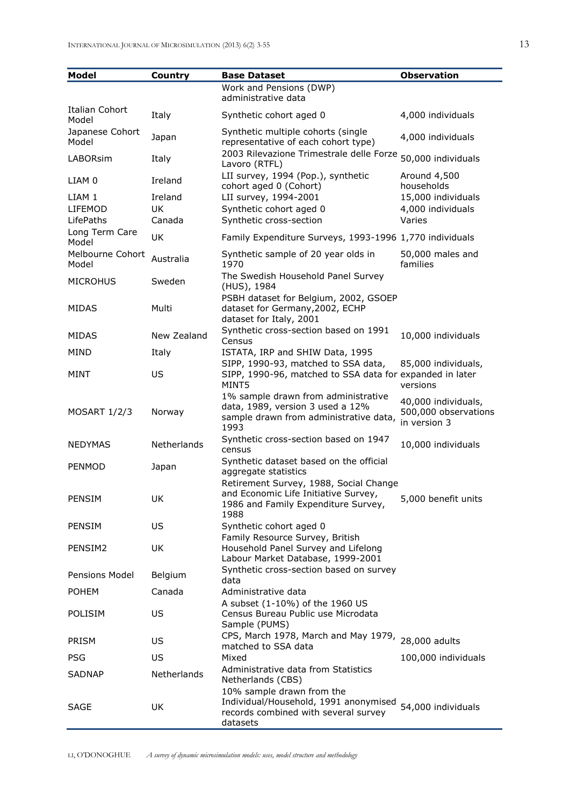| <b>Model</b>              | Country     | <b>Base Dataset</b>                                                                                                       | <b>Observation</b>                                          |
|---------------------------|-------------|---------------------------------------------------------------------------------------------------------------------------|-------------------------------------------------------------|
|                           |             | Work and Pensions (DWP)<br>administrative data                                                                            |                                                             |
| Italian Cohort<br>Model   | Italy       | Synthetic cohort aged 0                                                                                                   | 4,000 individuals                                           |
| Japanese Cohort<br>Model  | Japan       | Synthetic multiple cohorts (single<br>representative of each cohort type)                                                 | 4,000 individuals                                           |
| LABORsim                  | Italy       | 2003 Rilevazione Trimestrale delle Forze<br>Lavoro (RTFL)                                                                 | 50,000 individuals                                          |
| LIAM 0                    | Ireland     | LII survey, 1994 (Pop.), synthetic<br>cohort aged 0 (Cohort)                                                              | Around 4,500<br>households                                  |
| LIAM 1                    | Ireland     | LII survey, 1994-2001                                                                                                     | 15,000 individuals                                          |
| LIFEMOD                   | UK          | Synthetic cohort aged 0                                                                                                   | 4,000 individuals                                           |
| LifePaths                 | Canada      | Synthetic cross-section                                                                                                   | Varies                                                      |
| Long Term Care<br>Model   | <b>UK</b>   | Family Expenditure Surveys, 1993-1996 1,770 individuals                                                                   |                                                             |
| Melbourne Cohort<br>Model | Australia   | Synthetic sample of 20 year olds in<br>1970                                                                               | 50,000 males and<br>families                                |
| <b>MICROHUS</b>           | Sweden      | The Swedish Household Panel Survey<br>(HUS), 1984                                                                         |                                                             |
| <b>MIDAS</b>              | Multi       | PSBH dataset for Belgium, 2002, GSOEP<br>dataset for Germany, 2002, ECHP<br>dataset for Italy, 2001                       |                                                             |
| <b>MIDAS</b>              | New Zealand | Synthetic cross-section based on 1991<br>Census                                                                           | 10,000 individuals                                          |
| MIND                      | Italy       | ISTATA, IRP and SHIW Data, 1995                                                                                           |                                                             |
| MINT                      | US          | SIPP, 1990-93, matched to SSA data,<br>SIPP, 1990-96, matched to SSA data for expanded in later<br>MINT5                  | 85,000 individuals,<br>versions                             |
| <b>MOSART 1/2/3</b>       | Norway      | 1% sample drawn from administrative<br>data, 1989, version 3 used a 12%<br>sample drawn from administrative data,<br>1993 | 40,000 individuals,<br>500,000 observations<br>in version 3 |
| NEDYMAS                   | Netherlands | Synthetic cross-section based on 1947<br>census                                                                           | 10,000 individuals                                          |
| PENMOD                    | Japan       | Synthetic dataset based on the official<br>aggregate statistics<br>Retirement Survey, 1988, Social Change                 |                                                             |
| PENSIM                    | UK          | and Economic Life Initiative Survey,<br>1986 and Family Expenditure Survey,<br>1988                                       | 5,000 benefit units                                         |
| PENSIM                    | US          | Synthetic cohort aged 0                                                                                                   |                                                             |
| PENSIM2                   | UK          | Family Resource Survey, British<br>Household Panel Survey and Lifelong<br>Labour Market Database, 1999-2001               |                                                             |
| Pensions Model            | Belgium     | Synthetic cross-section based on survey<br>data                                                                           |                                                             |
| <b>POHEM</b>              | Canada      | Administrative data                                                                                                       |                                                             |
| POLISIM                   | US.         | A subset (1-10%) of the 1960 US<br>Census Bureau Public use Microdata<br>Sample (PUMS)                                    |                                                             |
| PRISM                     | US.         | CPS, March 1978, March and May 1979, 28,000 adults<br>matched to SSA data                                                 |                                                             |
| PSG                       | US          | Mixed                                                                                                                     | 100,000 individuals                                         |
| <b>SADNAP</b>             | Netherlands | Administrative data from Statistics<br>Netherlands (CBS)                                                                  |                                                             |
| SAGE                      | UK.         | 10% sample drawn from the<br>Individual/Household, 1991 anonymised<br>records combined with several survey<br>datasets    | 54,000 individuals                                          |

LI, O'DONOGHUE *A survey of dynamic microsimulation models: uses, model structure and methodology*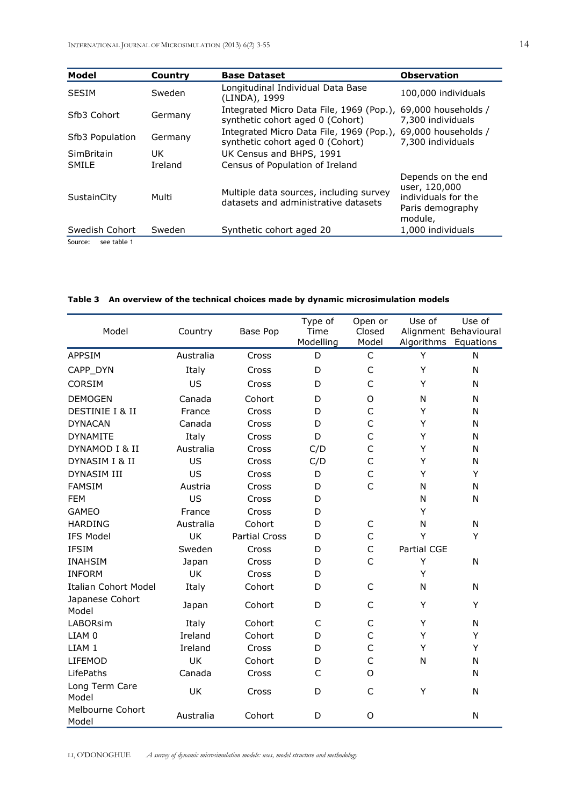| <b>Model</b>                | Country | <b>Base Dataset</b>                                                                              | <b>Observation</b>                                                                        |
|-----------------------------|---------|--------------------------------------------------------------------------------------------------|-------------------------------------------------------------------------------------------|
| <b>SESIM</b>                | Sweden  | Longitudinal Individual Data Base<br>(LINDA), 1999                                               | 100,000 individuals                                                                       |
| Sfb3 Cohort                 | Germany | Integrated Micro Data File, 1969 (Pop.),<br>synthetic cohort aged 0 (Cohort)                     | 69,000 households /<br>7,300 individuals                                                  |
| Sfb <sub>3</sub> Population | Germany | Integrated Micro Data File, 1969 (Pop.), 69,000 households /<br>synthetic cohort aged 0 (Cohort) | 7,300 individuals                                                                         |
| <b>SimBritain</b>           | UK.     | UK Census and BHPS, 1991                                                                         |                                                                                           |
| SMILE                       | Ireland | Census of Population of Ireland                                                                  |                                                                                           |
| SustainCity                 | Multi   | Multiple data sources, including survey<br>datasets and administrative datasets                  | Depends on the end<br>user, 120,000<br>individuals for the<br>Paris demography<br>module, |
| Swedish Cohort              | Sweden  | Synthetic cohort aged 20                                                                         | 1,000 individuals                                                                         |

Source: see table 1

| Model                       | Country   | Base Pop             | Type of<br>Time<br>Modelling | Open or<br>Closed<br>Model | Use of<br>Algorithms | Use of<br>Alignment Behavioural<br>Equations |
|-----------------------------|-----------|----------------------|------------------------------|----------------------------|----------------------|----------------------------------------------|
| <b>APPSIM</b>               | Australia | Cross                | D                            | $\mathsf C$                | Y                    | N                                            |
| CAPP_DYN                    | Italy     | Cross                | D                            | $\mathsf C$                | Y                    | N                                            |
| <b>CORSIM</b>               | US        | Cross                | D                            | $\mathsf{C}$               | Y                    | N                                            |
| <b>DEMOGEN</b>              | Canada    | Cohort               | D                            | O                          | N                    | N                                            |
| DESTINIE I & II             | France    | Cross                | D                            | $\mathsf{C}$               | Y                    | N                                            |
| <b>DYNACAN</b>              | Canada    | Cross                | D                            | $\mathsf{C}$               | Υ                    | N                                            |
| <b>DYNAMITE</b>             | Italy     | Cross                | D                            | $\mathsf{C}$               | Y                    | N                                            |
| DYNAMOD I & II              | Australia | Cross                | C/D                          | $\mathsf{C}$               | Y                    | N                                            |
| DYNASIM I & II              | US        | Cross                | C/D                          | $\mathsf{C}$               | Y                    | N                                            |
| <b>DYNASIM III</b>          | US        | Cross                | D                            | $\mathsf{C}$               | Y                    | Y                                            |
| <b>FAMSIM</b>               | Austria   | Cross                | D                            | $\mathsf{C}$               | N                    | N                                            |
| <b>FEM</b>                  | US        | Cross                | D                            |                            | N                    | N                                            |
| <b>GAMEO</b>                | France    | Cross                | D                            |                            | Y                    |                                              |
| <b>HARDING</b>              | Australia | Cohort               | D                            | $\mathsf C$                | N                    | N                                            |
| <b>IFS Model</b>            | UK        | <b>Partial Cross</b> | D                            | $\mathsf{C}$               | Y                    | Y                                            |
| <b>IFSIM</b>                | Sweden    | Cross                | D                            | $\mathsf C$                | Partial CGE          |                                              |
| <b>INAHSIM</b>              | Japan     | Cross                | D                            | $\mathsf{C}$               | Y                    | Ν                                            |
| <b>INFORM</b>               | <b>UK</b> | Cross                | D                            |                            | Y                    |                                              |
| <b>Italian Cohort Model</b> | Italy     | Cohort               | D                            | $\mathsf{C}$               | N                    | N                                            |
| Japanese Cohort<br>Model    | Japan     | Cohort               | D                            | $\mathsf{C}$               | Y                    | Y                                            |
| <b>LABORsim</b>             | Italy     | Cohort               | C                            | $\mathsf{C}$               | Y                    | N                                            |
| LIAM 0                      | Ireland   | Cohort               | D                            | $\mathsf{C}$               | Y                    | Y                                            |
| LIAM 1                      | Ireland   | Cross                | D                            | $\mathsf{C}$               | Y                    | Υ                                            |
| <b>LIFEMOD</b>              | UK        | Cohort               | D                            | $\mathsf{C}$               | N                    | N                                            |
| LifePaths                   | Canada    | Cross                | C                            | O                          |                      | N                                            |
| Long Term Care<br>Model     | UK        | Cross                | D                            | $\mathsf{C}$               | Υ                    | N                                            |
| Melbourne Cohort<br>Model   | Australia | Cohort               | D                            | O                          |                      | N                                            |

## **Table 3 An overview of the technical choices made by dynamic microsimulation models**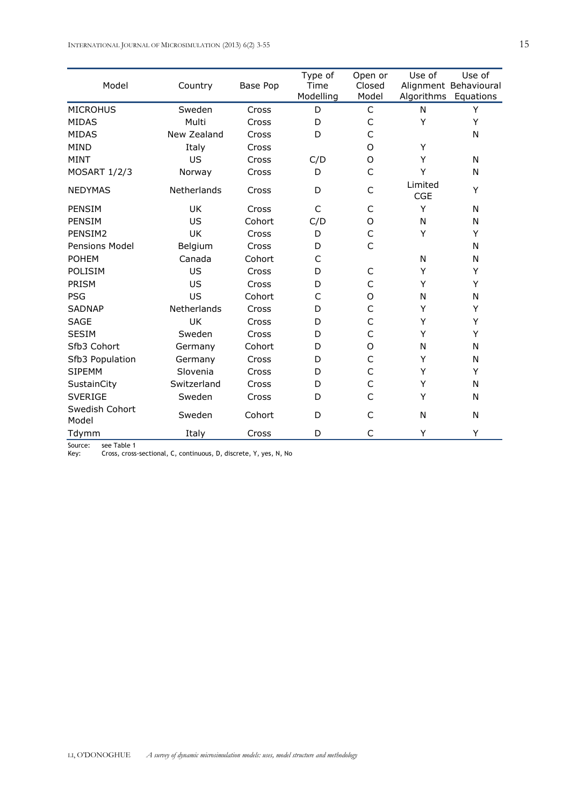INTERNATIONAL JOURNAL OF MICROSIMULATION (2013) 6(2) 3-55 15 15

| Model                   | Country     | Base Pop | Type of<br>Time<br>Modelling | Open or<br>Closed<br>Model | Use of                | Use of<br>Alignment Behavioural<br>Algorithms Equations |
|-------------------------|-------------|----------|------------------------------|----------------------------|-----------------------|---------------------------------------------------------|
| <b>MICROHUS</b>         | Sweden      | Cross    | D                            | $\mathsf{C}$               | N                     | Υ                                                       |
| <b>MIDAS</b>            | Multi       | Cross    | D                            | C                          | Y                     | Υ                                                       |
| <b>MIDAS</b>            | New Zealand | Cross    | D                            | $\mathsf{C}$               |                       | N                                                       |
| <b>MIND</b>             | Italy       | Cross    |                              | $\Omega$                   | Y                     |                                                         |
| <b>MINT</b>             | US          | Cross    | C/D                          | O                          | Y                     | N                                                       |
| <b>MOSART 1/2/3</b>     | Norway      | Cross    | D                            | $\mathsf{C}$               | Y                     | N                                                       |
| <b>NEDYMAS</b>          | Netherlands | Cross    | D                            | C                          | Limited<br><b>CGE</b> | Y                                                       |
| PENSIM                  | UK          | Cross    | C                            | C                          | Y                     | N                                                       |
| PENSIM                  | US          | Cohort   | C/D                          | O                          | N                     | N                                                       |
| PENSIM2                 | <b>UK</b>   | Cross    | D                            | $\mathsf{C}$               | Y                     | Y                                                       |
| Pensions Model          | Belgium     | Cross    | D                            | $\mathsf{C}$               |                       | N                                                       |
| <b>POHEM</b>            | Canada      | Cohort   | C                            |                            | N                     | N                                                       |
| POLISIM                 | US          | Cross    | D                            | C                          | Y                     | Υ                                                       |
| PRISM                   | US          | Cross    | D                            | C                          | Y                     | Υ                                                       |
| <b>PSG</b>              | US          | Cohort   | C                            | O                          | N                     | N                                                       |
| <b>SADNAP</b>           | Netherlands | Cross    | D                            | C                          | Y                     | Υ                                                       |
| <b>SAGE</b>             | UK          | Cross    | D                            | $\mathsf{C}$               | Y                     | Υ                                                       |
| <b>SESIM</b>            | Sweden      | Cross    | D                            | C                          | Υ                     | Υ                                                       |
| Sfb3 Cohort             | Germany     | Cohort   | D                            | O                          | N                     | N                                                       |
| Sfb3 Population         | Germany     | Cross    | D                            | $\mathsf{C}$               | Y                     | N                                                       |
| <b>SIPEMM</b>           | Slovenia    | Cross    | D                            | $\mathsf{C}$               | Y                     | Y                                                       |
| SustainCity             | Switzerland | Cross    | D                            | $\mathsf{C}$               | Y                     | N                                                       |
| <b>SVERIGE</b>          | Sweden      | Cross    | D                            | $\mathsf{C}$               | Y                     | N                                                       |
| Swedish Cohort<br>Model | Sweden      | Cohort   | D                            | C                          | N                     | N                                                       |
| Tdymm                   | Italy       | Cross    | D                            | C                          | Y                     | Y                                                       |

Source: see Table 1

Key: Cross, cross-sectional, C, continuous, D, discrete, Y, yes, N, No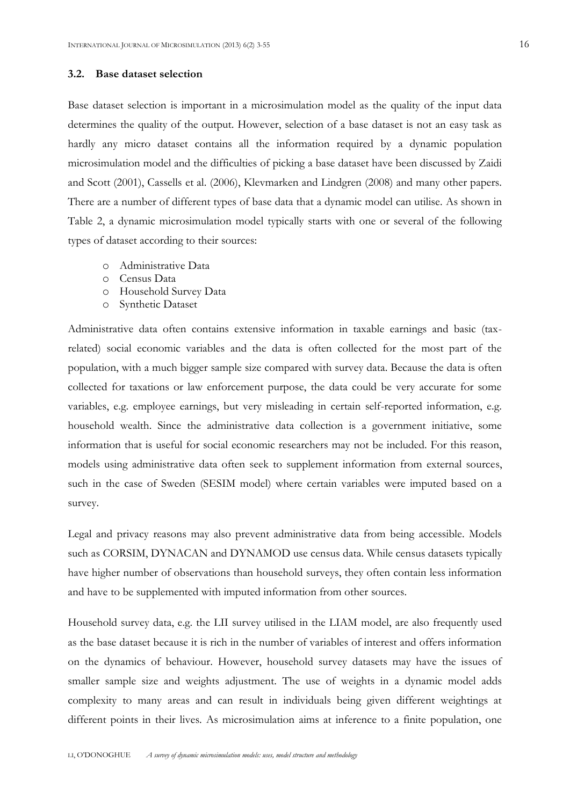#### **3.2. Base dataset selection**

Base dataset selection is important in a microsimulation model as the quality of the input data determines the quality of the output. However, selection of a base dataset is not an easy task as hardly any micro dataset contains all the information required by a dynamic population microsimulation model and the difficulties of picking a base dataset have been discussed by Zaidi and Scott (2001), Cassells et al. (2006), Klevmarken and Lindgren (2008) and many other papers. There are a number of different types of base data that a dynamic model can utilise. As shown in Table 2, a dynamic microsimulation model typically starts with one or several of the following types of dataset according to their sources:

- o Administrative Data
- o Census Data
- o Household Survey Data
- o Synthetic Dataset

Administrative data often contains extensive information in taxable earnings and basic (taxrelated) social economic variables and the data is often collected for the most part of the population, with a much bigger sample size compared with survey data. Because the data is often collected for taxations or law enforcement purpose, the data could be very accurate for some variables, e.g. employee earnings, but very misleading in certain self-reported information, e.g. household wealth. Since the administrative data collection is a government initiative, some information that is useful for social economic researchers may not be included. For this reason, models using administrative data often seek to supplement information from external sources, such in the case of Sweden (SESIM model) where certain variables were imputed based on a survey.

Legal and privacy reasons may also prevent administrative data from being accessible. Models such as CORSIM, DYNACAN and DYNAMOD use census data. While census datasets typically have higher number of observations than household surveys, they often contain less information and have to be supplemented with imputed information from other sources.

Household survey data, e.g. the LII survey utilised in the LIAM model, are also frequently used as the base dataset because it is rich in the number of variables of interest and offers information on the dynamics of behaviour. However, household survey datasets may have the issues of smaller sample size and weights adjustment. The use of weights in a dynamic model adds complexity to many areas and can result in individuals being given different weightings at different points in their lives. As microsimulation aims at inference to a finite population, one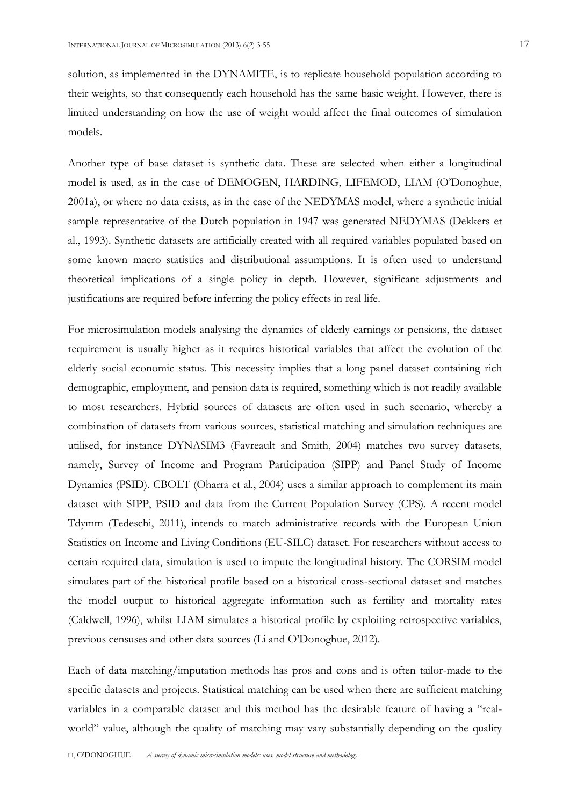solution, as implemented in the DYNAMITE, is to replicate household population according to their weights, so that consequently each household has the same basic weight. However, there is limited understanding on how the use of weight would affect the final outcomes of simulation models.

Another type of base dataset is synthetic data. These are selected when either a longitudinal model is used, as in the case of DEMOGEN, HARDING, LIFEMOD, LIAM (O'Donoghue, 2001a), or where no data exists, as in the case of the NEDYMAS model, where a synthetic initial sample representative of the Dutch population in 1947 was generated NEDYMAS (Dekkers et al., 1993). Synthetic datasets are artificially created with all required variables populated based on some known macro statistics and distributional assumptions. It is often used to understand theoretical implications of a single policy in depth. However, significant adjustments and justifications are required before inferring the policy effects in real life.

For microsimulation models analysing the dynamics of elderly earnings or pensions, the dataset requirement is usually higher as it requires historical variables that affect the evolution of the elderly social economic status. This necessity implies that a long panel dataset containing rich demographic, employment, and pension data is required, something which is not readily available to most researchers. Hybrid sources of datasets are often used in such scenario, whereby a combination of datasets from various sources, statistical matching and simulation techniques are utilised, for instance DYNASIM3 (Favreault and Smith, 2004) matches two survey datasets, namely, Survey of Income and Program Participation (SIPP) and Panel Study of Income Dynamics (PSID). CBOLT (Oharra et al., 2004) uses a similar approach to complement its main dataset with SIPP, PSID and data from the Current Population Survey (CPS). A recent model Tdymm (Tedeschi, 2011), intends to match administrative records with the European Union Statistics on Income and Living Conditions (EU-SILC) dataset. For researchers without access to certain required data, simulation is used to impute the longitudinal history. The CORSIM model simulates part of the historical profile based on a historical cross-sectional dataset and matches the model output to historical aggregate information such as fertility and mortality rates (Caldwell, 1996), whilst LIAM simulates a historical profile by exploiting retrospective variables, previous censuses and other data sources (Li and O'Donoghue, 2012).

Each of data matching/imputation methods has pros and cons and is often tailor-made to the specific datasets and projects. Statistical matching can be used when there are sufficient matching variables in a comparable dataset and this method has the desirable feature of having a "realworld" value, although the quality of matching may vary substantially depending on the quality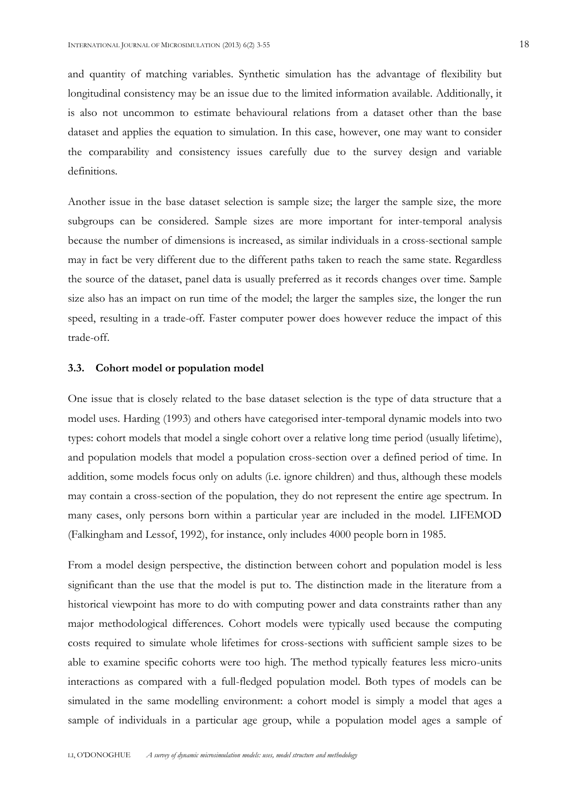and quantity of matching variables. Synthetic simulation has the advantage of flexibility but longitudinal consistency may be an issue due to the limited information available. Additionally, it is also not uncommon to estimate behavioural relations from a dataset other than the base dataset and applies the equation to simulation. In this case, however, one may want to consider the comparability and consistency issues carefully due to the survey design and variable definitions.

Another issue in the base dataset selection is sample size; the larger the sample size, the more subgroups can be considered. Sample sizes are more important for inter-temporal analysis because the number of dimensions is increased, as similar individuals in a cross-sectional sample may in fact be very different due to the different paths taken to reach the same state. Regardless the source of the dataset, panel data is usually preferred as it records changes over time. Sample size also has an impact on run time of the model; the larger the samples size, the longer the run speed, resulting in a trade-off. Faster computer power does however reduce the impact of this trade-off.

#### **3.3. Cohort model or population model**

One issue that is closely related to the base dataset selection is the type of data structure that a model uses. Harding (1993) and others have categorised inter-temporal dynamic models into two types: cohort models that model a single cohort over a relative long time period (usually lifetime), and population models that model a population cross-section over a defined period of time. In addition, some models focus only on adults (i.e. ignore children) and thus, although these models may contain a cross-section of the population, they do not represent the entire age spectrum. In many cases, only persons born within a particular year are included in the model. LIFEMOD (Falkingham and Lessof, 1992), for instance, only includes 4000 people born in 1985.

From a model design perspective, the distinction between cohort and population model is less significant than the use that the model is put to. The distinction made in the literature from a historical viewpoint has more to do with computing power and data constraints rather than any major methodological differences. Cohort models were typically used because the computing costs required to simulate whole lifetimes for cross-sections with sufficient sample sizes to be able to examine specific cohorts were too high. The method typically features less micro-units interactions as compared with a full-fledged population model. Both types of models can be simulated in the same modelling environment: a cohort model is simply a model that ages a sample of individuals in a particular age group, while a population model ages a sample of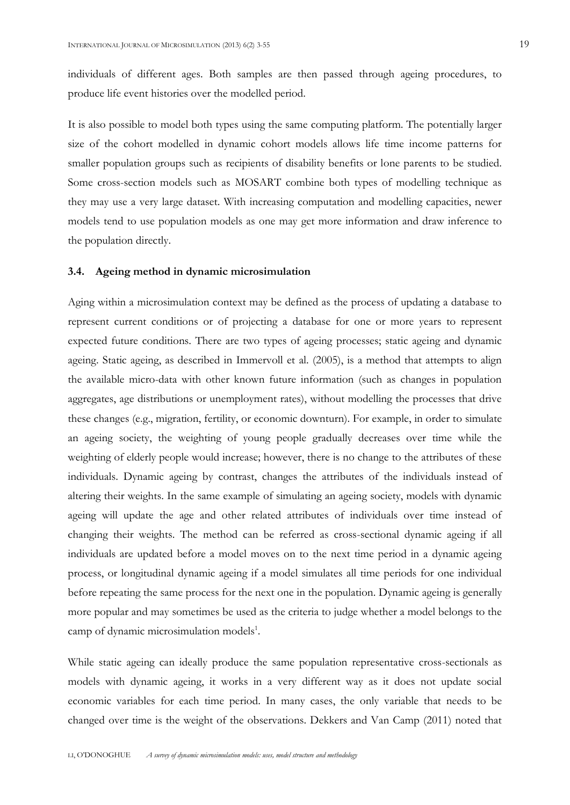individuals of different ages. Both samples are then passed through ageing procedures, to produce life event histories over the modelled period.

It is also possible to model both types using the same computing platform. The potentially larger size of the cohort modelled in dynamic cohort models allows life time income patterns for smaller population groups such as recipients of disability benefits or lone parents to be studied. Some cross-section models such as MOSART combine both types of modelling technique as they may use a very large dataset. With increasing computation and modelling capacities, newer models tend to use population models as one may get more information and draw inference to the population directly.

#### **3.4. Ageing method in dynamic microsimulation**

Aging within a microsimulation context may be defined as the process of updating a database to represent current conditions or of projecting a database for one or more years to represent expected future conditions. There are two types of ageing processes; static ageing and dynamic ageing. Static ageing, as described in Immervoll et al. (2005), is a method that attempts to align the available micro-data with other known future information (such as changes in population aggregates, age distributions or unemployment rates), without modelling the processes that drive these changes (e.g., migration, fertility, or economic downturn). For example, in order to simulate an ageing society, the weighting of young people gradually decreases over time while the weighting of elderly people would increase; however, there is no change to the attributes of these individuals. Dynamic ageing by contrast, changes the attributes of the individuals instead of altering their weights. In the same example of simulating an ageing society, models with dynamic ageing will update the age and other related attributes of individuals over time instead of changing their weights. The method can be referred as cross-sectional dynamic ageing if all individuals are updated before a model moves on to the next time period in a dynamic ageing process, or longitudinal dynamic ageing if a model simulates all time periods for one individual before repeating the same process for the next one in the population. Dynamic ageing is generally more popular and may sometimes be used as the criteria to judge whether a model belongs to the camp of dynamic microsimulation models<sup>1</sup>.

While static ageing can ideally produce the same population representative cross-sectionals as models with dynamic ageing, it works in a very different way as it does not update social economic variables for each time period. In many cases, the only variable that needs to be changed over time is the weight of the observations. Dekkers and Van Camp (2011) noted that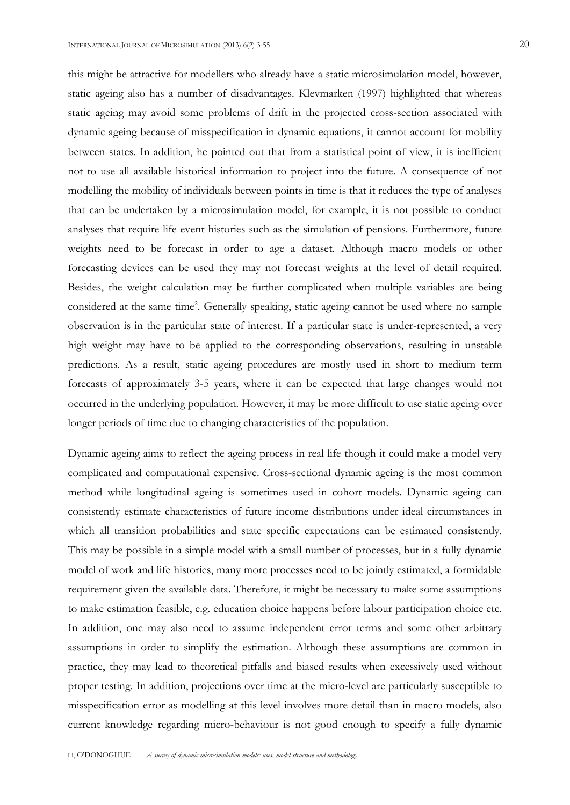this might be attractive for modellers who already have a static microsimulation model, however, static ageing also has a number of disadvantages. Klevmarken (1997) highlighted that whereas static ageing may avoid some problems of drift in the projected cross-section associated with dynamic ageing because of misspecification in dynamic equations, it cannot account for mobility between states. In addition, he pointed out that from a statistical point of view, it is inefficient not to use all available historical information to project into the future. A consequence of not modelling the mobility of individuals between points in time is that it reduces the type of analyses that can be undertaken by a microsimulation model, for example, it is not possible to conduct analyses that require life event histories such as the simulation of pensions. Furthermore, future weights need to be forecast in order to age a dataset. Although macro models or other forecasting devices can be used they may not forecast weights at the level of detail required. Besides, the weight calculation may be further complicated when multiple variables are being considered at the same time<sup>2</sup>. Generally speaking, static ageing cannot be used where no sample observation is in the particular state of interest. If a particular state is under-represented, a very high weight may have to be applied to the corresponding observations, resulting in unstable predictions. As a result, static ageing procedures are mostly used in short to medium term forecasts of approximately 3-5 years, where it can be expected that large changes would not occurred in the underlying population. However, it may be more difficult to use static ageing over longer periods of time due to changing characteristics of the population.

Dynamic ageing aims to reflect the ageing process in real life though it could make a model very complicated and computational expensive. Cross-sectional dynamic ageing is the most common method while longitudinal ageing is sometimes used in cohort models. Dynamic ageing can consistently estimate characteristics of future income distributions under ideal circumstances in which all transition probabilities and state specific expectations can be estimated consistently. This may be possible in a simple model with a small number of processes, but in a fully dynamic model of work and life histories, many more processes need to be jointly estimated, a formidable requirement given the available data. Therefore, it might be necessary to make some assumptions to make estimation feasible, e.g. education choice happens before labour participation choice etc. In addition, one may also need to assume independent error terms and some other arbitrary assumptions in order to simplify the estimation. Although these assumptions are common in practice, they may lead to theoretical pitfalls and biased results when excessively used without proper testing. In addition, projections over time at the micro-level are particularly susceptible to misspecification error as modelling at this level involves more detail than in macro models, also current knowledge regarding micro-behaviour is not good enough to specify a fully dynamic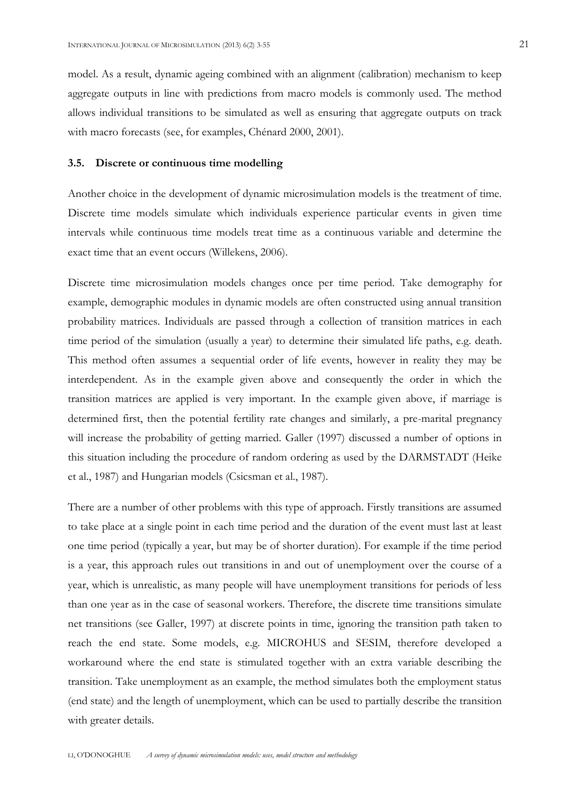model. As a result, dynamic ageing combined with an alignment (calibration) mechanism to keep aggregate outputs in line with predictions from macro models is commonly used. The method allows individual transitions to be simulated as well as ensuring that aggregate outputs on track with macro forecasts (see, for examples, Chénard 2000, 2001).

#### **3.5. Discrete or continuous time modelling**

Another choice in the development of dynamic microsimulation models is the treatment of time. Discrete time models simulate which individuals experience particular events in given time intervals while continuous time models treat time as a continuous variable and determine the exact time that an event occurs (Willekens, 2006).

Discrete time microsimulation models changes once per time period. Take demography for example, demographic modules in dynamic models are often constructed using annual transition probability matrices. Individuals are passed through a collection of transition matrices in each time period of the simulation (usually a year) to determine their simulated life paths, e.g. death. This method often assumes a sequential order of life events, however in reality they may be interdependent. As in the example given above and consequently the order in which the transition matrices are applied is very important. In the example given above, if marriage is determined first, then the potential fertility rate changes and similarly, a pre-marital pregnancy will increase the probability of getting married. Galler (1997) discussed a number of options in this situation including the procedure of random ordering as used by the DARMSTADT (Heike et al., 1987) and Hungarian models (Csicsman et al., 1987).

There are a number of other problems with this type of approach. Firstly transitions are assumed to take place at a single point in each time period and the duration of the event must last at least one time period (typically a year, but may be of shorter duration). For example if the time period is a year, this approach rules out transitions in and out of unemployment over the course of a year, which is unrealistic, as many people will have unemployment transitions for periods of less than one year as in the case of seasonal workers. Therefore, the discrete time transitions simulate net transitions (see Galler, 1997) at discrete points in time, ignoring the transition path taken to reach the end state. Some models, e.g. MICROHUS and SESIM, therefore developed a workaround where the end state is stimulated together with an extra variable describing the transition. Take unemployment as an example, the method simulates both the employment status (end state) and the length of unemployment, which can be used to partially describe the transition with greater details.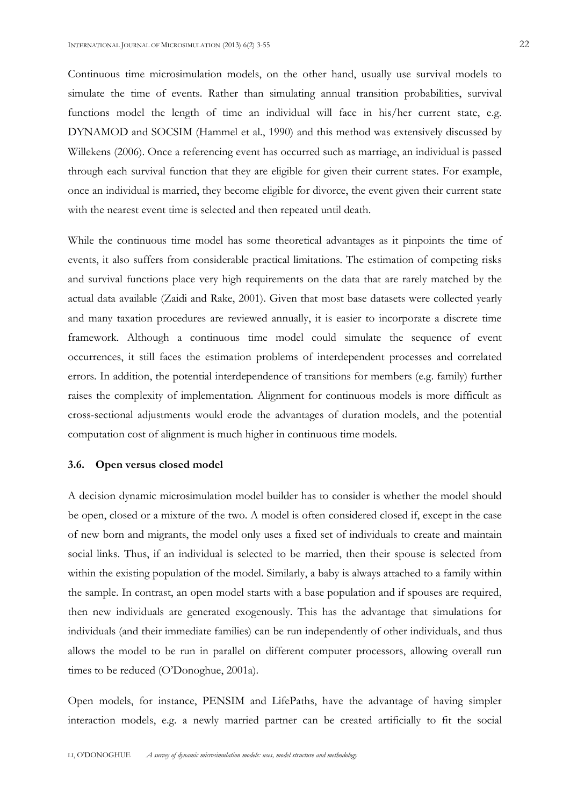Continuous time microsimulation models, on the other hand, usually use survival models to simulate the time of events. Rather than simulating annual transition probabilities, survival functions model the length of time an individual will face in his/her current state, e.g. DYNAMOD and SOCSIM (Hammel et al., 1990) and this method was extensively discussed by Willekens (2006). Once a referencing event has occurred such as marriage, an individual is passed through each survival function that they are eligible for given their current states. For example, once an individual is married, they become eligible for divorce, the event given their current state with the nearest event time is selected and then repeated until death.

While the continuous time model has some theoretical advantages as it pinpoints the time of events, it also suffers from considerable practical limitations. The estimation of competing risks and survival functions place very high requirements on the data that are rarely matched by the actual data available (Zaidi and Rake, 2001). Given that most base datasets were collected yearly and many taxation procedures are reviewed annually, it is easier to incorporate a discrete time framework. Although a continuous time model could simulate the sequence of event occurrences, it still faces the estimation problems of interdependent processes and correlated errors. In addition, the potential interdependence of transitions for members (e.g. family) further raises the complexity of implementation. Alignment for continuous models is more difficult as cross-sectional adjustments would erode the advantages of duration models, and the potential computation cost of alignment is much higher in continuous time models.

#### **3.6. Open versus closed model**

A decision dynamic microsimulation model builder has to consider is whether the model should be open, closed or a mixture of the two. A model is often considered closed if, except in the case of new born and migrants, the model only uses a fixed set of individuals to create and maintain social links. Thus, if an individual is selected to be married, then their spouse is selected from within the existing population of the model. Similarly, a baby is always attached to a family within the sample. In contrast, an open model starts with a base population and if spouses are required, then new individuals are generated exogenously. This has the advantage that simulations for individuals (and their immediate families) can be run independently of other individuals, and thus allows the model to be run in parallel on different computer processors, allowing overall run times to be reduced (O'Donoghue, 2001a).

Open models, for instance, PENSIM and LifePaths, have the advantage of having simpler interaction models, e.g. a newly married partner can be created artificially to fit the social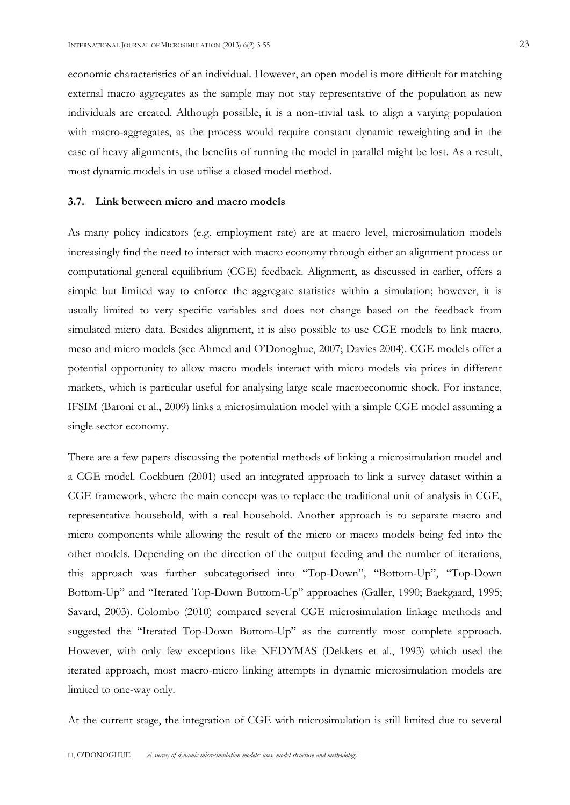economic characteristics of an individual. However, an open model is more difficult for matching external macro aggregates as the sample may not stay representative of the population as new individuals are created. Although possible, it is a non-trivial task to align a varying population

with macro-aggregates, as the process would require constant dynamic reweighting and in the case of heavy alignments, the benefits of running the model in parallel might be lost. As a result, most dynamic models in use utilise a closed model method.

## **3.7. Link between micro and macro models**

As many policy indicators (e.g. employment rate) are at macro level, microsimulation models increasingly find the need to interact with macro economy through either an alignment process or computational general equilibrium (CGE) feedback. Alignment, as discussed in earlier, offers a simple but limited way to enforce the aggregate statistics within a simulation; however, it is usually limited to very specific variables and does not change based on the feedback from simulated micro data. Besides alignment, it is also possible to use CGE models to link macro, meso and micro models (see Ahmed and O'Donoghue, 2007; Davies 2004). CGE models offer a potential opportunity to allow macro models interact with micro models via prices in different markets, which is particular useful for analysing large scale macroeconomic shock. For instance, IFSIM (Baroni et al., 2009) links a microsimulation model with a simple CGE model assuming a single sector economy.

There are a few papers discussing the potential methods of linking a microsimulation model and a CGE model. Cockburn (2001) used an integrated approach to link a survey dataset within a CGE framework, where the main concept was to replace the traditional unit of analysis in CGE, representative household, with a real household. Another approach is to separate macro and micro components while allowing the result of the micro or macro models being fed into the other models. Depending on the direction of the output feeding and the number of iterations, this approach was further subcategorised into "Top-Down", "Bottom-Up", "Top-Down Bottom-Up" and "Iterated Top-Down Bottom-Up" approaches (Galler, 1990; Baekgaard, 1995; Savard, 2003). Colombo (2010) compared several CGE microsimulation linkage methods and suggested the "Iterated Top-Down Bottom-Up" as the currently most complete approach. However, with only few exceptions like NEDYMAS (Dekkers et al., 1993) which used the iterated approach, most macro-micro linking attempts in dynamic microsimulation models are limited to one-way only.

At the current stage, the integration of CGE with microsimulation is still limited due to several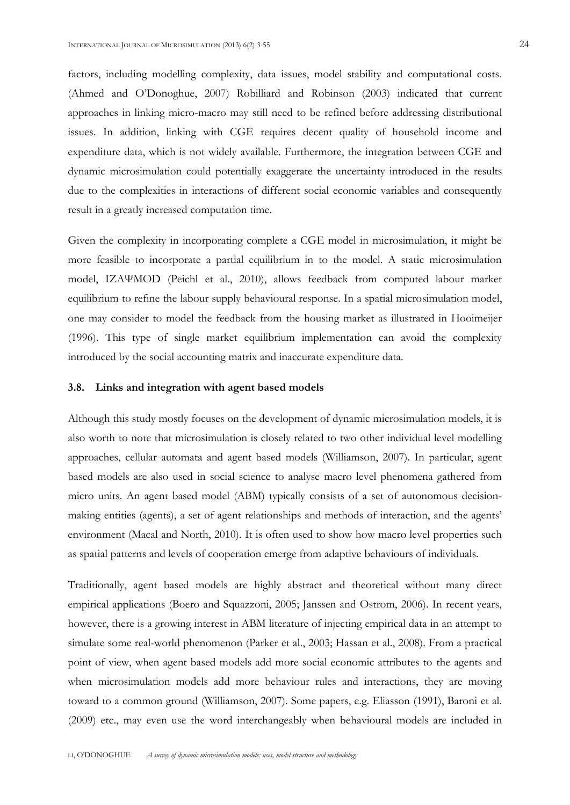factors, including modelling complexity, data issues, model stability and computational costs. (Ahmed and O'Donoghue, 2007) Robilliard and Robinson (2003) indicated that current approaches in linking micro-macro may still need to be refined before addressing distributional issues. In addition, linking with CGE requires decent quality of household income and expenditure data, which is not widely available. Furthermore, the integration between CGE and dynamic microsimulation could potentially exaggerate the uncertainty introduced in the results due to the complexities in interactions of different social economic variables and consequently result in a greatly increased computation time.

Given the complexity in incorporating complete a CGE model in microsimulation, it might be more feasible to incorporate a partial equilibrium in to the model. A static microsimulation model, IZAΨMOD (Peichl et al., 2010), allows feedback from computed labour market equilibrium to refine the labour supply behavioural response. In a spatial microsimulation model, one may consider to model the feedback from the housing market as illustrated in Hooimeijer (1996). This type of single market equilibrium implementation can avoid the complexity introduced by the social accounting matrix and inaccurate expenditure data.

#### **3.8. Links and integration with agent based models**

Although this study mostly focuses on the development of dynamic microsimulation models, it is also worth to note that microsimulation is closely related to two other individual level modelling approaches, cellular automata and agent based models (Williamson, 2007). In particular, agent based models are also used in social science to analyse macro level phenomena gathered from micro units. An agent based model (ABM) typically consists of a set of autonomous decisionmaking entities (agents), a set of agent relationships and methods of interaction, and the agents' environment (Macal and North, 2010). It is often used to show how macro level properties such as spatial patterns and levels of cooperation emerge from adaptive behaviours of individuals.

Traditionally, agent based models are highly abstract and theoretical without many direct empirical applications (Boero and Squazzoni, 2005; Janssen and Ostrom, 2006). In recent years, however, there is a growing interest in ABM literature of injecting empirical data in an attempt to simulate some real-world phenomenon (Parker et al., 2003; Hassan et al., 2008). From a practical point of view, when agent based models add more social economic attributes to the agents and when microsimulation models add more behaviour rules and interactions, they are moving toward to a common ground (Williamson, 2007). Some papers, e.g. Eliasson (1991), Baroni et al. (2009) etc., may even use the word interchangeably when behavioural models are included in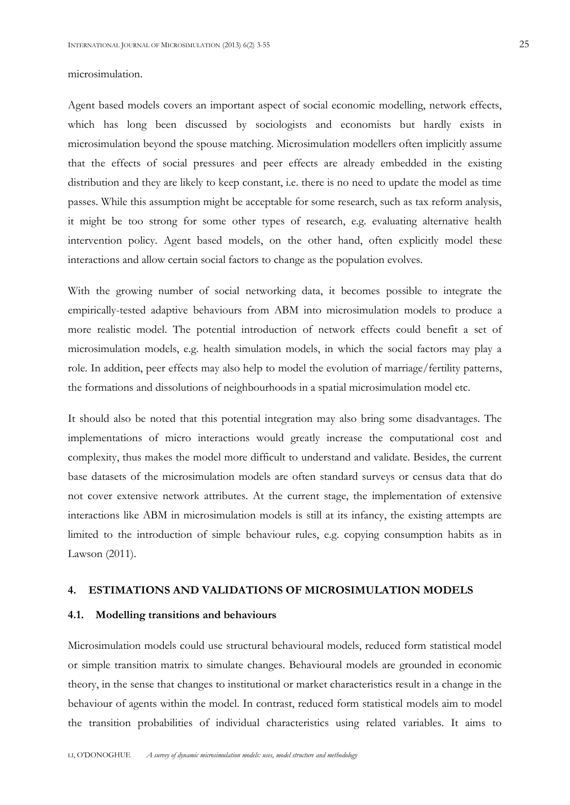#### microsimulation.

Agent based models covers an important aspect of social economic modelling, network effects, which has long been discussed by sociologists and economists but hardly exists in microsimulation beyond the spouse matching. Microsimulation modellers often implicitly assume that the effects of social pressures and peer effects are already embedded in the existing distribution and they are likely to keep constant, i.e. there is no need to update the model as time passes. While this assumption might be acceptable for some research, such as tax reform analysis, it might be too strong for some other types of research, e.g. evaluating alternative health intervention policy. Agent based models, on the other hand, often explicitly model these interactions and allow certain social factors to change as the population evolves.

With the growing number of social networking data, it becomes possible to integrate the empirically-tested adaptive behaviours from ABM into microsimulation models to produce a more realistic model. The potential introduction of network effects could benefit a set of microsimulation models, e.g. health simulation models, in which the social factors may play a role. In addition, peer effects may also help to model the evolution of marriage/fertility patterns, the formations and dissolutions of neighbourhoods in a spatial microsimulation model etc.

It should also be noted that this potential integration may also bring some disadvantages. The implementations of micro interactions would greatly increase the computational cost and complexity, thus makes the model more difficult to understand and validate. Besides, the current base datasets of the microsimulation models are often standard surveys or census data that do not cover extensive network attributes. At the current stage, the implementation of extensive interactions like ABM in microsimulation models is still at its infancy, the existing attempts are limited to the introduction of simple behaviour rules, e.g. copying consumption habits as in Lawson (2011).

#### **4. ESTIMATIONS AND VALIDATIONS OF MICROSIMULATION MODELS**

#### **4.1. Modelling transitions and behaviours**

Microsimulation models could use structural behavioural models, reduced form statistical model or simple transition matrix to simulate changes. Behavioural models are grounded in economic theory, in the sense that changes to institutional or market characteristics result in a change in the behaviour of agents within the model. In contrast, reduced form statistical models aim to model the transition probabilities of individual characteristics using related variables. It aims to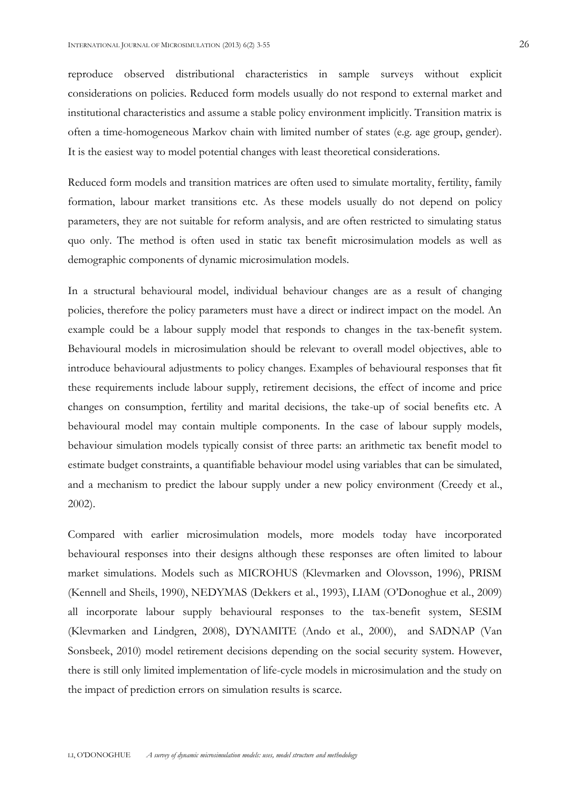reproduce observed distributional characteristics in sample surveys without explicit considerations on policies. Reduced form models usually do not respond to external market and institutional characteristics and assume a stable policy environment implicitly. Transition matrix is often a time-homogeneous Markov chain with limited number of states (e.g. age group, gender). It is the easiest way to model potential changes with least theoretical considerations.

Reduced form models and transition matrices are often used to simulate mortality, fertility, family formation, labour market transitions etc. As these models usually do not depend on policy parameters, they are not suitable for reform analysis, and are often restricted to simulating status quo only. The method is often used in static tax benefit microsimulation models as well as demographic components of dynamic microsimulation models.

In a structural behavioural model, individual behaviour changes are as a result of changing policies, therefore the policy parameters must have a direct or indirect impact on the model. An example could be a labour supply model that responds to changes in the tax-benefit system. Behavioural models in microsimulation should be relevant to overall model objectives, able to introduce behavioural adjustments to policy changes. Examples of behavioural responses that fit these requirements include labour supply, retirement decisions, the effect of income and price changes on consumption, fertility and marital decisions, the take-up of social benefits etc. A behavioural model may contain multiple components. In the case of labour supply models, behaviour simulation models typically consist of three parts: an arithmetic tax benefit model to estimate budget constraints, a quantifiable behaviour model using variables that can be simulated, and a mechanism to predict the labour supply under a new policy environment (Creedy et al., 2002).

Compared with earlier microsimulation models, more models today have incorporated behavioural responses into their designs although these responses are often limited to labour market simulations. Models such as MICROHUS (Klevmarken and Olovsson, 1996), PRISM (Kennell and Sheils, 1990), NEDYMAS (Dekkers et al., 1993), LIAM (O'Donoghue et al., 2009) all incorporate labour supply behavioural responses to the tax-benefit system, SESIM (Klevmarken and Lindgren, 2008), DYNAMITE (Ando et al., 2000), and SADNAP (Van Sonsbeek, 2010) model retirement decisions depending on the social security system. However, there is still only limited implementation of life-cycle models in microsimulation and the study on the impact of prediction errors on simulation results is scarce.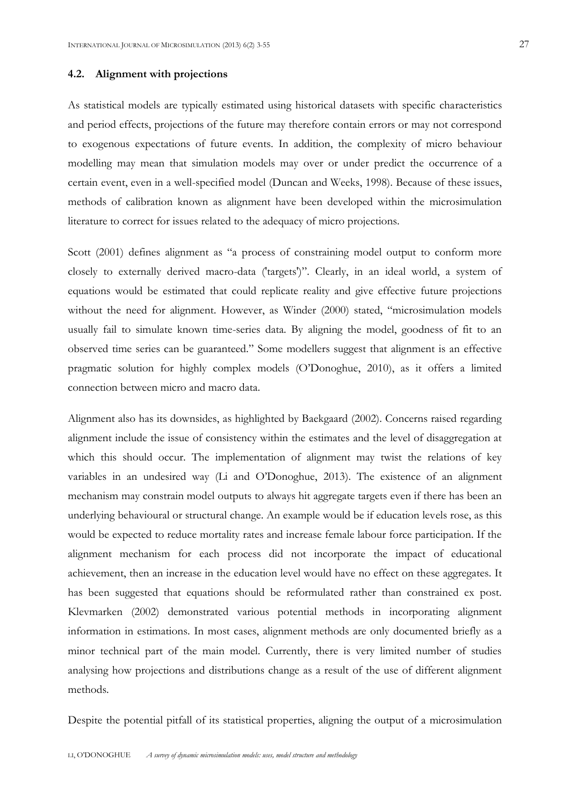#### **4.2. Alignment with projections**

As statistical models are typically estimated using historical datasets with specific characteristics and period effects, projections of the future may therefore contain errors or may not correspond to exogenous expectations of future events. In addition, the complexity of micro behaviour modelling may mean that simulation models may over or under predict the occurrence of a certain event, even in a well-specified model (Duncan and Weeks, 1998). Because of these issues, methods of calibration known as alignment have been developed within the microsimulation literature to correct for issues related to the adequacy of micro projections.

Scott (2001) defines alignment as "a process of constraining model output to conform more closely to externally derived macro-data ('targets')". Clearly, in an ideal world, a system of equations would be estimated that could replicate reality and give effective future projections without the need for alignment. However, as Winder (2000) stated, "microsimulation models usually fail to simulate known time-series data. By aligning the model, goodness of fit to an observed time series can be guaranteed." Some modellers suggest that alignment is an effective pragmatic solution for highly complex models (O'Donoghue, 2010), as it offers a limited connection between micro and macro data.

Alignment also has its downsides, as highlighted by Baekgaard (2002). Concerns raised regarding alignment include the issue of consistency within the estimates and the level of disaggregation at which this should occur. The implementation of alignment may twist the relations of key variables in an undesired way (Li and O'Donoghue, 2013). The existence of an alignment mechanism may constrain model outputs to always hit aggregate targets even if there has been an underlying behavioural or structural change. An example would be if education levels rose, as this would be expected to reduce mortality rates and increase female labour force participation. If the alignment mechanism for each process did not incorporate the impact of educational achievement, then an increase in the education level would have no effect on these aggregates. It has been suggested that equations should be reformulated rather than constrained ex post. Klevmarken (2002) demonstrated various potential methods in incorporating alignment information in estimations. In most cases, alignment methods are only documented briefly as a minor technical part of the main model. Currently, there is very limited number of studies analysing how projections and distributions change as a result of the use of different alignment methods.

Despite the potential pitfall of its statistical properties, aligning the output of a microsimulation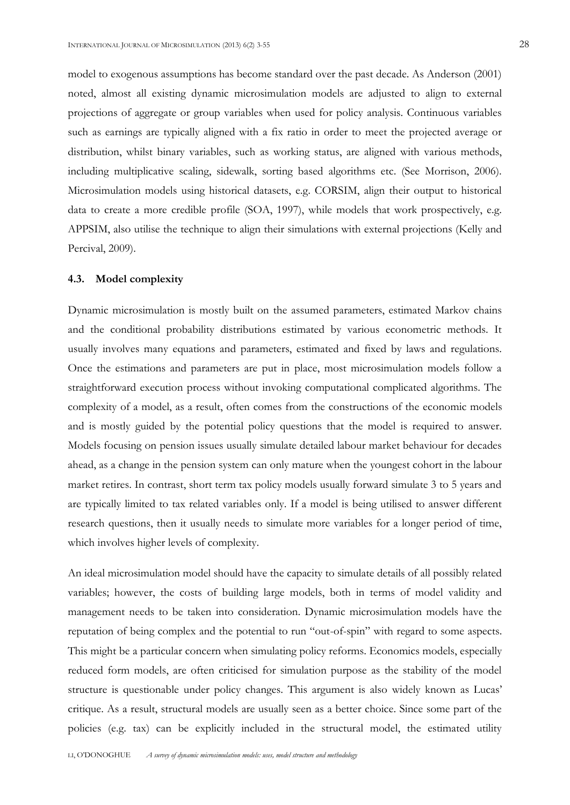model to exogenous assumptions has become standard over the past decade. As Anderson (2001) noted, almost all existing dynamic microsimulation models are adjusted to align to external projections of aggregate or group variables when used for policy analysis. Continuous variables such as earnings are typically aligned with a fix ratio in order to meet the projected average or distribution, whilst binary variables, such as working status, are aligned with various methods, including multiplicative scaling, sidewalk, sorting based algorithms etc. (See Morrison, 2006). Microsimulation models using historical datasets, e.g. CORSIM, align their output to historical data to create a more credible profile (SOA, 1997), while models that work prospectively, e.g. APPSIM, also utilise the technique to align their simulations with external projections (Kelly and Percival, 2009).

#### **4.3. Model complexity**

Dynamic microsimulation is mostly built on the assumed parameters, estimated Markov chains and the conditional probability distributions estimated by various econometric methods. It usually involves many equations and parameters, estimated and fixed by laws and regulations. Once the estimations and parameters are put in place, most microsimulation models follow a straightforward execution process without invoking computational complicated algorithms. The complexity of a model, as a result, often comes from the constructions of the economic models and is mostly guided by the potential policy questions that the model is required to answer. Models focusing on pension issues usually simulate detailed labour market behaviour for decades ahead, as a change in the pension system can only mature when the youngest cohort in the labour market retires. In contrast, short term tax policy models usually forward simulate 3 to 5 years and are typically limited to tax related variables only. If a model is being utilised to answer different research questions, then it usually needs to simulate more variables for a longer period of time, which involves higher levels of complexity.

An ideal microsimulation model should have the capacity to simulate details of all possibly related variables; however, the costs of building large models, both in terms of model validity and management needs to be taken into consideration. Dynamic microsimulation models have the reputation of being complex and the potential to run "out-of-spin" with regard to some aspects. This might be a particular concern when simulating policy reforms. Economics models, especially reduced form models, are often criticised for simulation purpose as the stability of the model structure is questionable under policy changes. This argument is also widely known as Lucas' critique. As a result, structural models are usually seen as a better choice. Since some part of the policies (e.g. tax) can be explicitly included in the structural model, the estimated utility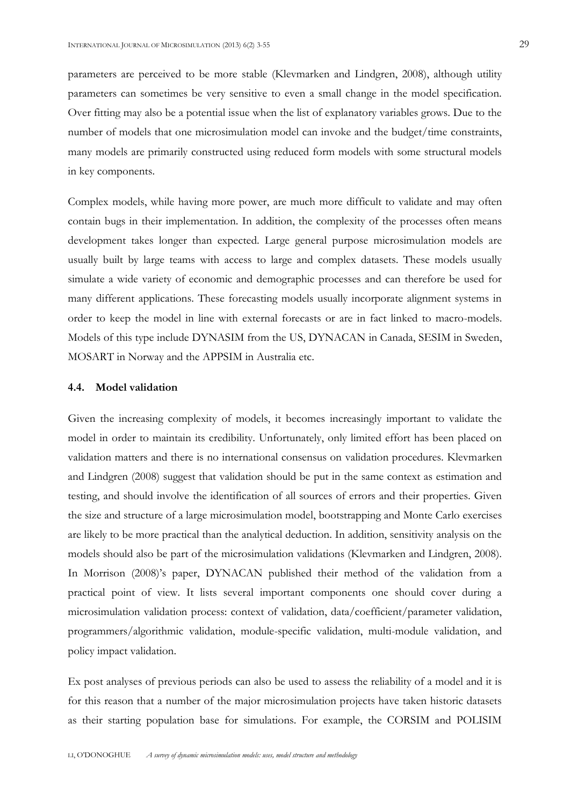parameters are perceived to be more stable (Klevmarken and Lindgren, 2008), although utility parameters can sometimes be very sensitive to even a small change in the model specification. Over fitting may also be a potential issue when the list of explanatory variables grows. Due to the number of models that one microsimulation model can invoke and the budget/time constraints, many models are primarily constructed using reduced form models with some structural models in key components.

Complex models, while having more power, are much more difficult to validate and may often contain bugs in their implementation. In addition, the complexity of the processes often means development takes longer than expected. Large general purpose microsimulation models are usually built by large teams with access to large and complex datasets. These models usually simulate a wide variety of economic and demographic processes and can therefore be used for many different applications. These forecasting models usually incorporate alignment systems in order to keep the model in line with external forecasts or are in fact linked to macro-models. Models of this type include DYNASIM from the US, DYNACAN in Canada, SESIM in Sweden, MOSART in Norway and the APPSIM in Australia etc.

#### **4.4. Model validation**

Given the increasing complexity of models, it becomes increasingly important to validate the model in order to maintain its credibility. Unfortunately, only limited effort has been placed on validation matters and there is no international consensus on validation procedures. Klevmarken and Lindgren (2008) suggest that validation should be put in the same context as estimation and testing, and should involve the identification of all sources of errors and their properties. Given the size and structure of a large microsimulation model, bootstrapping and Monte Carlo exercises are likely to be more practical than the analytical deduction. In addition, sensitivity analysis on the models should also be part of the microsimulation validations (Klevmarken and Lindgren, 2008). In Morrison (2008)'s paper, DYNACAN published their method of the validation from a practical point of view. It lists several important components one should cover during a microsimulation validation process: context of validation, data/coefficient/parameter validation, programmers/algorithmic validation, module-specific validation, multi-module validation, and policy impact validation.

Ex post analyses of previous periods can also be used to assess the reliability of a model and it is for this reason that a number of the major microsimulation projects have taken historic datasets as their starting population base for simulations. For example, the CORSIM and POLISIM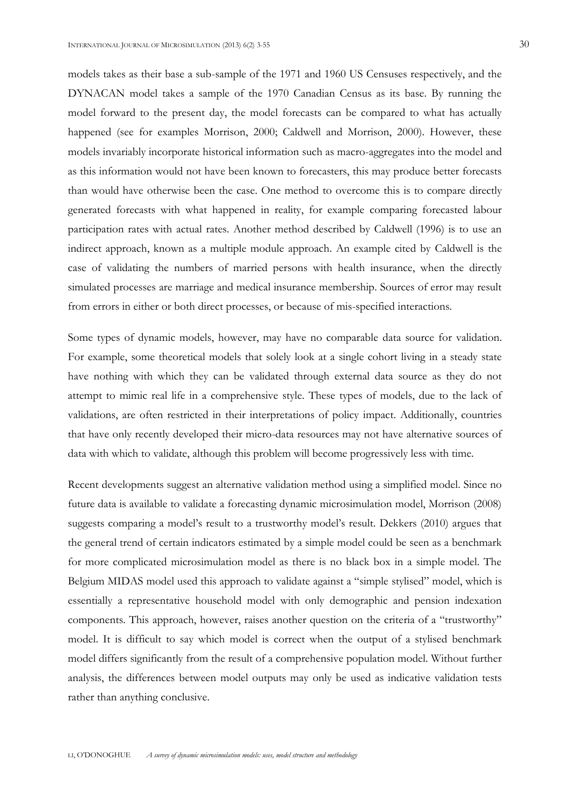models takes as their base a sub-sample of the 1971 and 1960 US Censuses respectively, and the DYNACAN model takes a sample of the 1970 Canadian Census as its base. By running the model forward to the present day, the model forecasts can be compared to what has actually happened (see for examples Morrison, 2000; Caldwell and Morrison, 2000). However, these models invariably incorporate historical information such as macro-aggregates into the model and as this information would not have been known to forecasters, this may produce better forecasts than would have otherwise been the case. One method to overcome this is to compare directly generated forecasts with what happened in reality, for example comparing forecasted labour participation rates with actual rates. Another method described by Caldwell (1996) is to use an indirect approach, known as a multiple module approach. An example cited by Caldwell is the case of validating the numbers of married persons with health insurance, when the directly simulated processes are marriage and medical insurance membership. Sources of error may result from errors in either or both direct processes, or because of mis-specified interactions.

Some types of dynamic models, however, may have no comparable data source for validation. For example, some theoretical models that solely look at a single cohort living in a steady state have nothing with which they can be validated through external data source as they do not attempt to mimic real life in a comprehensive style. These types of models, due to the lack of validations, are often restricted in their interpretations of policy impact. Additionally, countries that have only recently developed their micro-data resources may not have alternative sources of data with which to validate, although this problem will become progressively less with time.

Recent developments suggest an alternative validation method using a simplified model. Since no future data is available to validate a forecasting dynamic microsimulation model, Morrison (2008) suggests comparing a model's result to a trustworthy model's result. Dekkers (2010) argues that the general trend of certain indicators estimated by a simple model could be seen as a benchmark for more complicated microsimulation model as there is no black box in a simple model. The Belgium MIDAS model used this approach to validate against a "simple stylised" model, which is essentially a representative household model with only demographic and pension indexation components. This approach, however, raises another question on the criteria of a "trustworthy" model. It is difficult to say which model is correct when the output of a stylised benchmark model differs significantly from the result of a comprehensive population model. Without further analysis, the differences between model outputs may only be used as indicative validation tests rather than anything conclusive.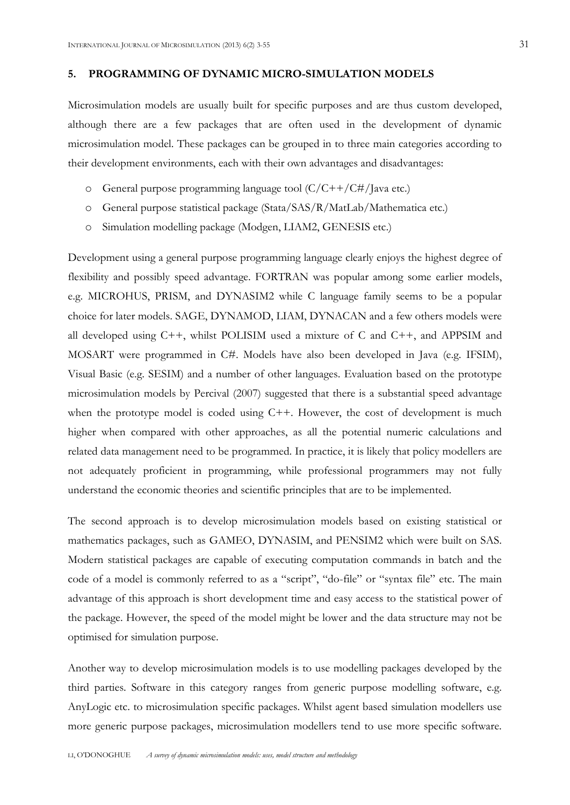## **5. PROGRAMMING OF DYNAMIC MICRO-SIMULATION MODELS**

Microsimulation models are usually built for specific purposes and are thus custom developed, although there are a few packages that are often used in the development of dynamic microsimulation model. These packages can be grouped in to three main categories according to their development environments, each with their own advantages and disadvantages:

- o General purpose programming language tool (C/C++/C#/Java etc.)
- o General purpose statistical package (Stata/SAS/R/MatLab/Mathematica etc.)
- o Simulation modelling package (Modgen, LIAM2, GENESIS etc.)

Development using a general purpose programming language clearly enjoys the highest degree of flexibility and possibly speed advantage. FORTRAN was popular among some earlier models, e.g. MICROHUS, PRISM, and DYNASIM2 while C language family seems to be a popular choice for later models. SAGE, DYNAMOD, LIAM, DYNACAN and a few others models were all developed using C++, whilst POLISIM used a mixture of C and C++, and APPSIM and MOSART were programmed in C#. Models have also been developed in Java (e.g. IFSIM), Visual Basic (e.g. SESIM) and a number of other languages. Evaluation based on the prototype microsimulation models by Percival (2007) suggested that there is a substantial speed advantage when the prototype model is coded using C++. However, the cost of development is much higher when compared with other approaches, as all the potential numeric calculations and related data management need to be programmed. In practice, it is likely that policy modellers are not adequately proficient in programming, while professional programmers may not fully understand the economic theories and scientific principles that are to be implemented.

The second approach is to develop microsimulation models based on existing statistical or mathematics packages, such as GAMEO, DYNASIM, and PENSIM2 which were built on SAS. Modern statistical packages are capable of executing computation commands in batch and the code of a model is commonly referred to as a "script", "do-file" or "syntax file" etc. The main advantage of this approach is short development time and easy access to the statistical power of the package. However, the speed of the model might be lower and the data structure may not be optimised for simulation purpose.

Another way to develop microsimulation models is to use modelling packages developed by the third parties. Software in this category ranges from generic purpose modelling software, e.g. AnyLogic etc. to microsimulation specific packages. Whilst agent based simulation modellers use more generic purpose packages, microsimulation modellers tend to use more specific software.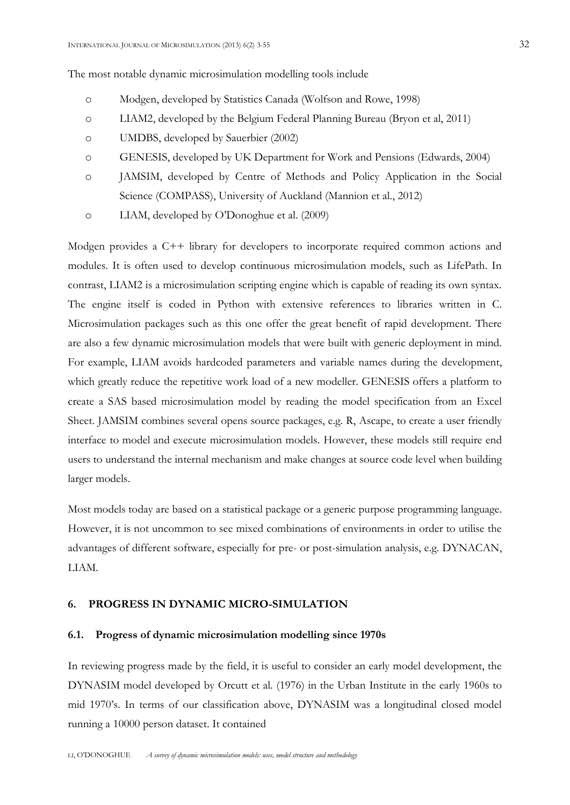The most notable dynamic microsimulation modelling tools include

- o Modgen, developed by Statistics Canada (Wolfson and Rowe, 1998)
- o LIAM2, developed by the Belgium Federal Planning Bureau (Bryon et al, 2011)
- o UMDBS, developed by Sauerbier (2002)
- o GENESIS, developed by UK Department for Work and Pensions (Edwards, 2004)
- o JAMSIM, developed by Centre of Methods and Policy Application in the Social Science (COMPASS), University of Auckland (Mannion et al., 2012)
- o LIAM, developed by O'Donoghue et al. (2009)

Modgen provides a C++ library for developers to incorporate required common actions and modules. It is often used to develop continuous microsimulation models, such as LifePath. In contrast, LIAM2 is a microsimulation scripting engine which is capable of reading its own syntax. The engine itself is coded in Python with extensive references to libraries written in C. Microsimulation packages such as this one offer the great benefit of rapid development. There are also a few dynamic microsimulation models that were built with generic deployment in mind. For example, LIAM avoids hardcoded parameters and variable names during the development, which greatly reduce the repetitive work load of a new modeller. GENESIS offers a platform to create a SAS based microsimulation model by reading the model specification from an Excel Sheet. JAMSIM combines several opens source packages, e.g. R, Ascape, to create a user friendly interface to model and execute microsimulation models. However, these models still require end users to understand the internal mechanism and make changes at source code level when building larger models.

Most models today are based on a statistical package or a generic purpose programming language. However, it is not uncommon to see mixed combinations of environments in order to utilise the advantages of different software, especially for pre- or post-simulation analysis, e.g. DYNACAN, LIAM.

## **6. PROGRESS IN DYNAMIC MICRO-SIMULATION**

#### **6.1. Progress of dynamic microsimulation modelling since 1970s**

In reviewing progress made by the field, it is useful to consider an early model development, the DYNASIM model developed by Orcutt et al. (1976) in the Urban Institute in the early 1960s to mid 1970's. In terms of our classification above, DYNASIM was a longitudinal closed model running a 10000 person dataset. It contained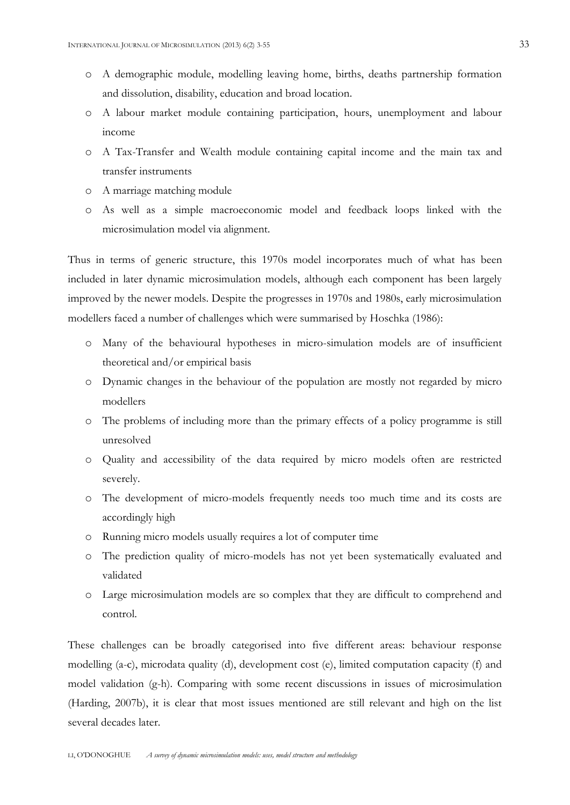- o A demographic module, modelling leaving home, births, deaths partnership formation and dissolution, disability, education and broad location.
- o A labour market module containing participation, hours, unemployment and labour income
- o A Tax-Transfer and Wealth module containing capital income and the main tax and transfer instruments
- o A marriage matching module
- o As well as a simple macroeconomic model and feedback loops linked with the microsimulation model via alignment.

Thus in terms of generic structure, this 1970s model incorporates much of what has been included in later dynamic microsimulation models, although each component has been largely improved by the newer models. Despite the progresses in 1970s and 1980s, early microsimulation modellers faced a number of challenges which were summarised by Hoschka (1986):

- o Many of the behavioural hypotheses in micro-simulation models are of insufficient theoretical and/or empirical basis
- o Dynamic changes in the behaviour of the population are mostly not regarded by micro modellers
- o The problems of including more than the primary effects of a policy programme is still unresolved
- o Quality and accessibility of the data required by micro models often are restricted severely.
- o The development of micro-models frequently needs too much time and its costs are accordingly high
- o Running micro models usually requires a lot of computer time
- o The prediction quality of micro-models has not yet been systematically evaluated and validated
- o Large microsimulation models are so complex that they are difficult to comprehend and control.

These challenges can be broadly categorised into five different areas: behaviour response modelling (a-c), microdata quality (d), development cost (e), limited computation capacity (f) and model validation (g-h). Comparing with some recent discussions in issues of microsimulation (Harding, 2007b), it is clear that most issues mentioned are still relevant and high on the list several decades later.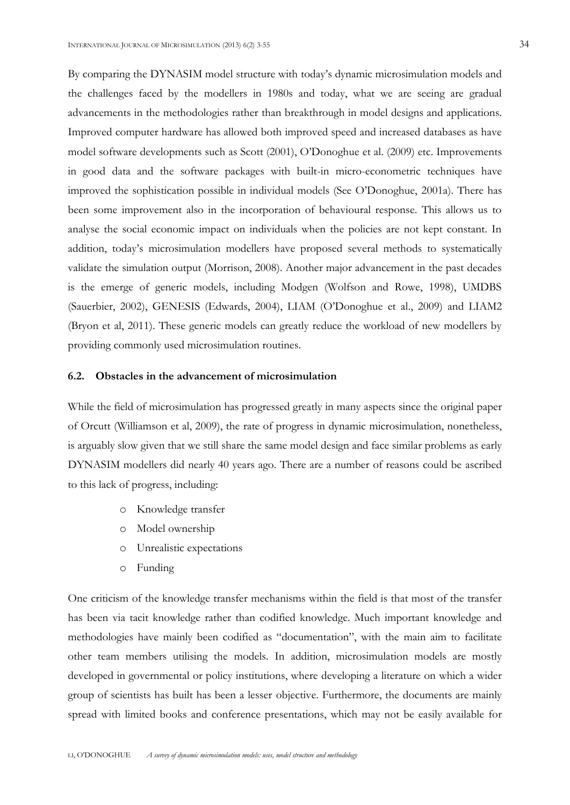the challenges faced by the modellers in 1980s and today, what we are seeing are gradual advancements in the methodologies rather than breakthrough in model designs and applications. Improved computer hardware has allowed both improved speed and increased databases as have model software developments such as Scott (2001), O'Donoghue et al. (2009) etc. Improvements in good data and the software packages with built-in micro-econometric techniques have improved the sophistication possible in individual models (See O'Donoghue, 2001a). There has been some improvement also in the incorporation of behavioural response. This allows us to analyse the social economic impact on individuals when the policies are not kept constant. In addition, today's microsimulation modellers have proposed several methods to systematically validate the simulation output (Morrison, 2008). Another major advancement in the past decades is the emerge of generic models, including Modgen (Wolfson and Rowe, 1998), UMDBS (Sauerbier, 2002), GENESIS (Edwards, 2004), LIAM (O'Donoghue et al., 2009) and LIAM2 (Bryon et al, 2011). These generic models can greatly reduce the workload of new modellers by providing commonly used microsimulation routines.

#### **6.2. Obstacles in the advancement of microsimulation**

While the field of microsimulation has progressed greatly in many aspects since the original paper of Orcutt (Williamson et al, 2009), the rate of progress in dynamic microsimulation, nonetheless, is arguably slow given that we still share the same model design and face similar problems as early DYNASIM modellers did nearly 40 years ago. There are a number of reasons could be ascribed to this lack of progress, including:

- o Knowledge transfer
- o Model ownership
- o Unrealistic expectations
- o Funding

One criticism of the knowledge transfer mechanisms within the field is that most of the transfer has been via tacit knowledge rather than codified knowledge. Much important knowledge and methodologies have mainly been codified as "documentation", with the main aim to facilitate other team members utilising the models. In addition, microsimulation models are mostly developed in governmental or policy institutions, where developing a literature on which a wider group of scientists has built has been a lesser objective. Furthermore, the documents are mainly spread with limited books and conference presentations, which may not be easily available for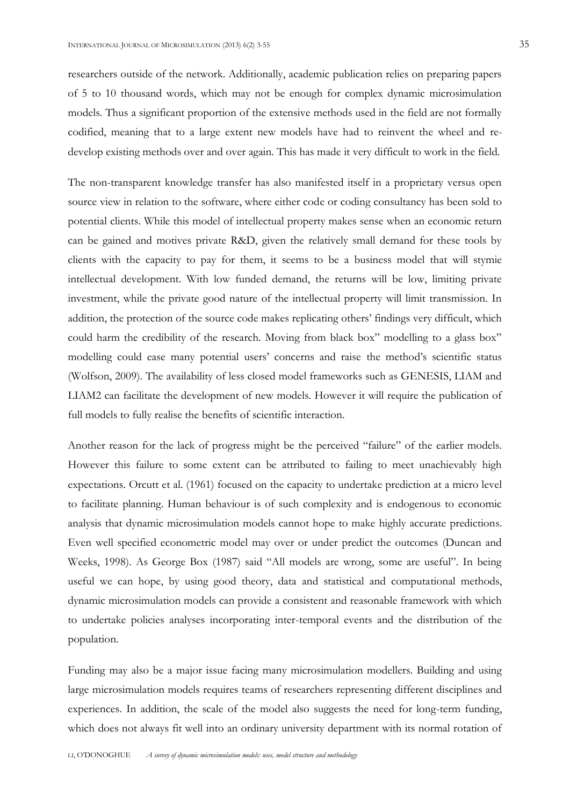researchers outside of the network. Additionally, academic publication relies on preparing papers of 5 to 10 thousand words, which may not be enough for complex dynamic microsimulation models. Thus a significant proportion of the extensive methods used in the field are not formally codified, meaning that to a large extent new models have had to reinvent the wheel and redevelop existing methods over and over again. This has made it very difficult to work in the field.

The non-transparent knowledge transfer has also manifested itself in a proprietary versus open source view in relation to the software, where either code or coding consultancy has been sold to potential clients. While this model of intellectual property makes sense when an economic return can be gained and motives private R&D, given the relatively small demand for these tools by clients with the capacity to pay for them, it seems to be a business model that will stymie intellectual development. With low funded demand, the returns will be low, limiting private investment, while the private good nature of the intellectual property will limit transmission. In addition, the protection of the source code makes replicating others' findings very difficult, which could harm the credibility of the research. Moving from black box" modelling to a glass box" modelling could ease many potential users' concerns and raise the method's scientific status (Wolfson, 2009). The availability of less closed model frameworks such as GENESIS, LIAM and LIAM2 can facilitate the development of new models. However it will require the publication of full models to fully realise the benefits of scientific interaction.

Another reason for the lack of progress might be the perceived "failure" of the earlier models. However this failure to some extent can be attributed to failing to meet unachievably high expectations. Orcutt et al. (1961) focused on the capacity to undertake prediction at a micro level to facilitate planning. Human behaviour is of such complexity and is endogenous to economic analysis that dynamic microsimulation models cannot hope to make highly accurate predictions. Even well specified econometric model may over or under predict the outcomes (Duncan and Weeks, 1998). As George Box (1987) said "All models are wrong, some are useful". In being useful we can hope, by using good theory, data and statistical and computational methods, dynamic microsimulation models can provide a consistent and reasonable framework with which to undertake policies analyses incorporating inter-temporal events and the distribution of the population.

Funding may also be a major issue facing many microsimulation modellers. Building and using large microsimulation models requires teams of researchers representing different disciplines and experiences. In addition, the scale of the model also suggests the need for long-term funding, which does not always fit well into an ordinary university department with its normal rotation of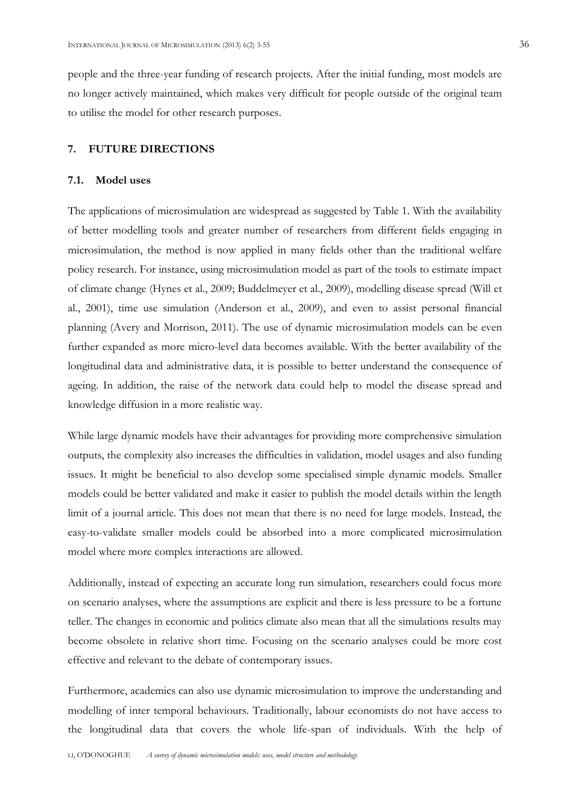people and the three-year funding of research projects. After the initial funding, most models are no longer actively maintained, which makes very difficult for people outside of the original team to utilise the model for other research purposes.

#### **7. FUTURE DIRECTIONS**

#### **7.1. Model uses**

The applications of microsimulation are widespread as suggested by Table 1. With the availability of better modelling tools and greater number of researchers from different fields engaging in microsimulation, the method is now applied in many fields other than the traditional welfare policy research. For instance, using microsimulation model as part of the tools to estimate impact of climate change (Hynes et al., 2009; Buddelmeyer et al., 2009), modelling disease spread (Will et al., 2001), time use simulation (Anderson et al., 2009), and even to assist personal financial planning (Avery and Morrison, 2011). The use of dynamic microsimulation models can be even further expanded as more micro-level data becomes available. With the better availability of the longitudinal data and administrative data, it is possible to better understand the consequence of ageing. In addition, the raise of the network data could help to model the disease spread and knowledge diffusion in a more realistic way.

While large dynamic models have their advantages for providing more comprehensive simulation outputs, the complexity also increases the difficulties in validation, model usages and also funding issues. It might be beneficial to also develop some specialised simple dynamic models. Smaller models could be better validated and make it easier to publish the model details within the length limit of a journal article. This does not mean that there is no need for large models. Instead, the easy-to-validate smaller models could be absorbed into a more complicated microsimulation model where more complex interactions are allowed.

Additionally, instead of expecting an accurate long run simulation, researchers could focus more on scenario analyses, where the assumptions are explicit and there is less pressure to be a fortune teller. The changes in economic and politics climate also mean that all the simulations results may become obsolete in relative short time. Focusing on the scenario analyses could be more cost effective and relevant to the debate of contemporary issues.

Furthermore, academics can also use dynamic microsimulation to improve the understanding and modelling of inter temporal behaviours. Traditionally, labour economists do not have access to the longitudinal data that covers the whole life-span of individuals. With the help of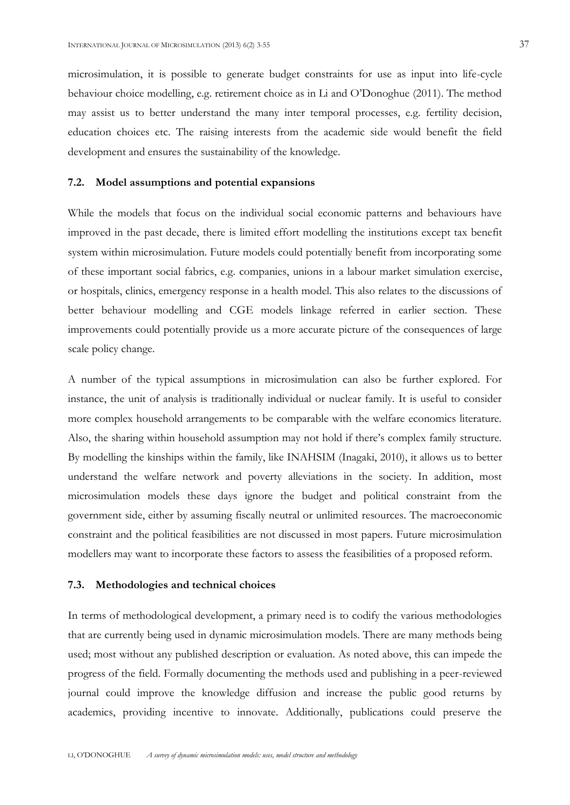microsimulation, it is possible to generate budget constraints for use as input into life-cycle behaviour choice modelling, e.g. retirement choice as in Li and O'Donoghue (2011). The method may assist us to better understand the many inter temporal processes, e.g. fertility decision, education choices etc. The raising interests from the academic side would benefit the field development and ensures the sustainability of the knowledge.

#### **7.2. Model assumptions and potential expansions**

While the models that focus on the individual social economic patterns and behaviours have improved in the past decade, there is limited effort modelling the institutions except tax benefit system within microsimulation. Future models could potentially benefit from incorporating some of these important social fabrics, e.g. companies, unions in a labour market simulation exercise, or hospitals, clinics, emergency response in a health model. This also relates to the discussions of better behaviour modelling and CGE models linkage referred in earlier section. These improvements could potentially provide us a more accurate picture of the consequences of large scale policy change.

A number of the typical assumptions in microsimulation can also be further explored. For instance, the unit of analysis is traditionally individual or nuclear family. It is useful to consider more complex household arrangements to be comparable with the welfare economics literature. Also, the sharing within household assumption may not hold if there's complex family structure. By modelling the kinships within the family, like INAHSIM (Inagaki, 2010), it allows us to better understand the welfare network and poverty alleviations in the society. In addition, most microsimulation models these days ignore the budget and political constraint from the government side, either by assuming fiscally neutral or unlimited resources. The macroeconomic constraint and the political feasibilities are not discussed in most papers. Future microsimulation modellers may want to incorporate these factors to assess the feasibilities of a proposed reform.

#### **7.3. Methodologies and technical choices**

In terms of methodological development, a primary need is to codify the various methodologies that are currently being used in dynamic microsimulation models. There are many methods being used; most without any published description or evaluation. As noted above, this can impede the progress of the field. Formally documenting the methods used and publishing in a peer-reviewed journal could improve the knowledge diffusion and increase the public good returns by academics, providing incentive to innovate. Additionally, publications could preserve the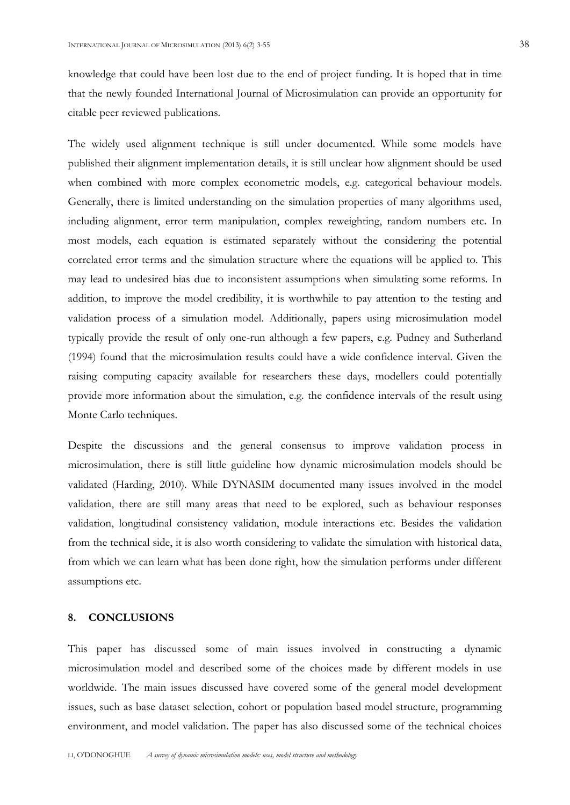knowledge that could have been lost due to the end of project funding. It is hoped that in time that the newly founded International Journal of Microsimulation can provide an opportunity for citable peer reviewed publications.

The widely used alignment technique is still under documented. While some models have published their alignment implementation details, it is still unclear how alignment should be used when combined with more complex econometric models, e.g. categorical behaviour models. Generally, there is limited understanding on the simulation properties of many algorithms used, including alignment, error term manipulation, complex reweighting, random numbers etc. In most models, each equation is estimated separately without the considering the potential correlated error terms and the simulation structure where the equations will be applied to. This may lead to undesired bias due to inconsistent assumptions when simulating some reforms. In addition, to improve the model credibility, it is worthwhile to pay attention to the testing and validation process of a simulation model. Additionally, papers using microsimulation model typically provide the result of only one-run although a few papers, e.g. Pudney and Sutherland (1994) found that the microsimulation results could have a wide confidence interval. Given the raising computing capacity available for researchers these days, modellers could potentially provide more information about the simulation, e.g. the confidence intervals of the result using Monte Carlo techniques.

Despite the discussions and the general consensus to improve validation process in microsimulation, there is still little guideline how dynamic microsimulation models should be validated (Harding, 2010). While DYNASIM documented many issues involved in the model validation, there are still many areas that need to be explored, such as behaviour responses validation, longitudinal consistency validation, module interactions etc. Besides the validation from the technical side, it is also worth considering to validate the simulation with historical data, from which we can learn what has been done right, how the simulation performs under different assumptions etc.

#### **8. CONCLUSIONS**

This paper has discussed some of main issues involved in constructing a dynamic microsimulation model and described some of the choices made by different models in use worldwide. The main issues discussed have covered some of the general model development issues, such as base dataset selection, cohort or population based model structure, programming environment, and model validation. The paper has also discussed some of the technical choices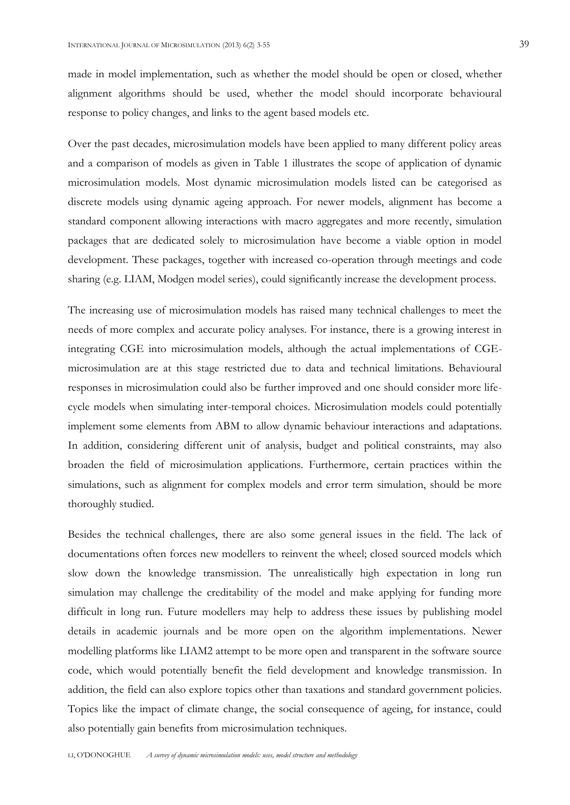made in model implementation, such as whether the model should be open or closed, whether alignment algorithms should be used, whether the model should incorporate behavioural response to policy changes, and links to the agent based models etc.

Over the past decades, microsimulation models have been applied to many different policy areas and a comparison of models as given in Table 1 illustrates the scope of application of dynamic microsimulation models. Most dynamic microsimulation models listed can be categorised as discrete models using dynamic ageing approach. For newer models, alignment has become a standard component allowing interactions with macro aggregates and more recently, simulation packages that are dedicated solely to microsimulation have become a viable option in model development. These packages, together with increased co-operation through meetings and code sharing (e.g. LIAM, Modgen model series), could significantly increase the development process.

The increasing use of microsimulation models has raised many technical challenges to meet the needs of more complex and accurate policy analyses. For instance, there is a growing interest in integrating CGE into microsimulation models, although the actual implementations of CGEmicrosimulation are at this stage restricted due to data and technical limitations. Behavioural responses in microsimulation could also be further improved and one should consider more lifecycle models when simulating inter-temporal choices. Microsimulation models could potentially implement some elements from ABM to allow dynamic behaviour interactions and adaptations. In addition, considering different unit of analysis, budget and political constraints, may also broaden the field of microsimulation applications. Furthermore, certain practices within the simulations, such as alignment for complex models and error term simulation, should be more thoroughly studied.

Besides the technical challenges, there are also some general issues in the field. The lack of documentations often forces new modellers to reinvent the wheel; closed sourced models which slow down the knowledge transmission. The unrealistically high expectation in long run simulation may challenge the creditability of the model and make applying for funding more difficult in long run. Future modellers may help to address these issues by publishing model details in academic journals and be more open on the algorithm implementations. Newer modelling platforms like LIAM2 attempt to be more open and transparent in the software source code, which would potentially benefit the field development and knowledge transmission. In addition, the field can also explore topics other than taxations and standard government policies. Topics like the impact of climate change, the social consequence of ageing, for instance, could also potentially gain benefits from microsimulation techniques.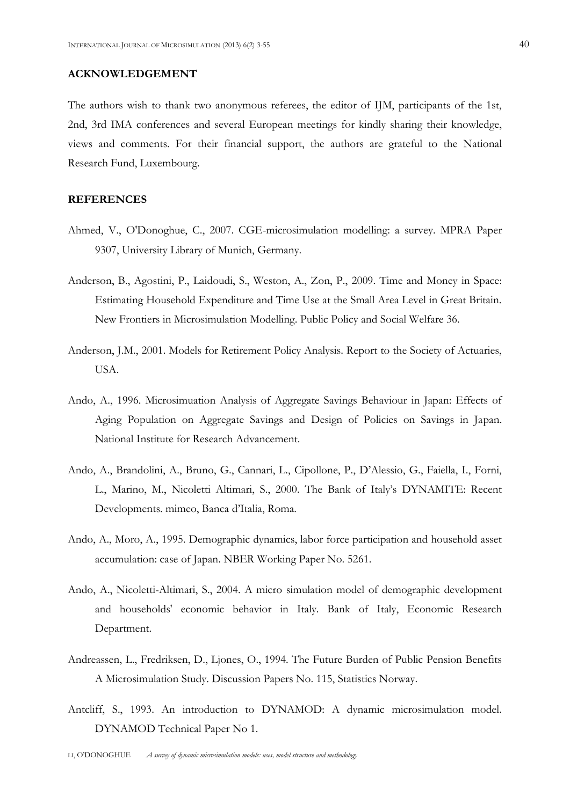## **ACKNOWLEDGEMENT**

The authors wish to thank two anonymous referees, the editor of IJM, participants of the 1st, 2nd, 3rd IMA conferences and several European meetings for kindly sharing their knowledge, views and comments. For their financial support, the authors are grateful to the National Research Fund, Luxembourg.

## **REFERENCES**

- Ahmed, V., O'Donoghue, C., 2007. CGE-microsimulation modelling: a survey. MPRA Paper 9307, University Library of Munich, Germany.
- Anderson, B., Agostini, P., Laidoudi, S., Weston, A., Zon, P., 2009. Time and Money in Space: Estimating Household Expenditure and Time Use at the Small Area Level in Great Britain. New Frontiers in Microsimulation Modelling. Public Policy and Social Welfare 36.
- Anderson, J.M., 2001. Models for Retirement Policy Analysis. Report to the Society of Actuaries, USA.
- Ando, A., 1996. Microsimuation Analysis of Aggregate Savings Behaviour in Japan: Effects of Aging Population on Aggregate Savings and Design of Policies on Savings in Japan. National Institute for Research Advancement.
- Ando, A., Brandolini, A., Bruno, G., Cannari, L., Cipollone, P., D'Alessio, G., Faiella, I., Forni, L., Marino, M., Nicoletti Altimari, S., 2000. The Bank of Italy's DYNAMITE: Recent Developments. mimeo, Banca d'Italia, Roma.
- Ando, A., Moro, A., 1995. Demographic dynamics, labor force participation and household asset accumulation: case of Japan. NBER Working Paper No. 5261.
- Ando, A., Nicoletti-Altimari, S., 2004. A micro simulation model of demographic development and households' economic behavior in Italy. Bank of Italy, Economic Research Department.
- Andreassen, L., Fredriksen, D., Ljones, O., 1994. The Future Burden of Public Pension Benefits A Microsimulation Study. Discussion Papers No. 115, Statistics Norway.
- Antcliff, S., 1993. An introduction to DYNAMOD: A dynamic microsimulation model. DYNAMOD Technical Paper No 1.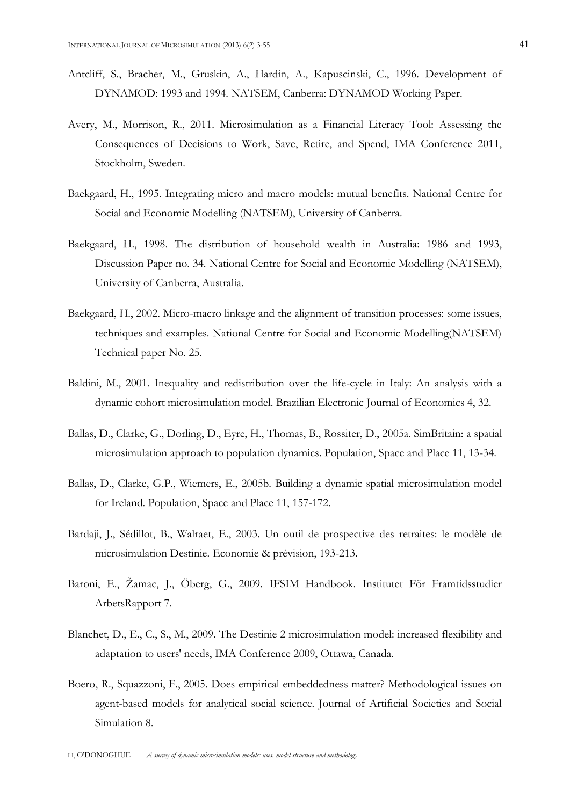- Antcliff, S., Bracher, M., Gruskin, A., Hardin, A., Kapuscinski, C., 1996. Development of DYNAMOD: 1993 and 1994. NATSEM, Canberra: DYNAMOD Working Paper.
- Avery, M., Morrison, R., 2011. Microsimulation as a Financial Literacy Tool: Assessing the Consequences of Decisions to Work, Save, Retire, and Spend, IMA Conference 2011, Stockholm, Sweden.
- Baekgaard, H., 1995. Integrating micro and macro models: mutual benefits. National Centre for Social and Economic Modelling (NATSEM), University of Canberra.
- Baekgaard, H., 1998. The distribution of household wealth in Australia: 1986 and 1993, Discussion Paper no. 34. National Centre for Social and Economic Modelling (NATSEM), University of Canberra, Australia.
- Baekgaard, H., 2002. Micro-macro linkage and the alignment of transition processes: some issues, techniques and examples. National Centre for Social and Economic Modelling(NATSEM) Technical paper No. 25.
- Baldini, M., 2001. Inequality and redistribution over the life-cycle in Italy: An analysis with a dynamic cohort microsimulation model. Brazilian Electronic Journal of Economics 4, 32.
- Ballas, D., Clarke, G., Dorling, D., Eyre, H., Thomas, B., Rossiter, D., 2005a. SimBritain: a spatial microsimulation approach to population dynamics. Population, Space and Place 11, 13-34.
- Ballas, D., Clarke, G.P., Wiemers, E., 2005b. Building a dynamic spatial microsimulation model for Ireland. Population, Space and Place 11, 157-172.
- Bardaji, J., Sédillot, B., Walraet, E., 2003. Un outil de prospective des retraites: le modèle de microsimulation Destinie. Economie & prévision, 193-213.
- Baroni, E., Žamac, J., Öberg, G., 2009. IFSIM Handbook. Institutet För Framtidsstudier ArbetsRapport 7.
- Blanchet, D., E., C., S., M., 2009. The Destinie 2 microsimulation model: increased flexibility and adaptation to users' needs, IMA Conference 2009, Ottawa, Canada.
- Boero, R., Squazzoni, F., 2005. Does empirical embeddedness matter? Methodological issues on agent-based models for analytical social science. Journal of Artificial Societies and Social Simulation 8.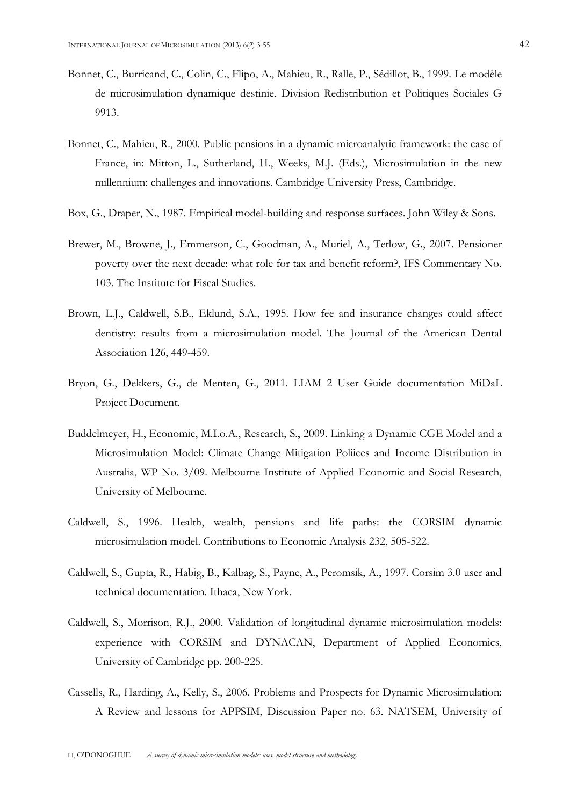- Bonnet, C., Burricand, C., Colin, C., Flipo, A., Mahieu, R., Ralle, P., Sédillot, B., 1999. Le modèle de microsimulation dynamique destinie. Division Redistribution et Politiques Sociales G 9913.
- Bonnet, C., Mahieu, R., 2000. Public pensions in a dynamic microanalytic framework: the case of France, in: Mitton, L., Sutherland, H., Weeks, M.J. (Eds.), Microsimulation in the new millennium: challenges and innovations. Cambridge University Press, Cambridge.
- Box, G., Draper, N., 1987. Empirical model-building and response surfaces. John Wiley & Sons.
- Brewer, M., Browne, J., Emmerson, C., Goodman, A., Muriel, A., Tetlow, G., 2007. Pensioner poverty over the next decade: what role for tax and benefit reform?, IFS Commentary No. 103. The Institute for Fiscal Studies.
- Brown, L.J., Caldwell, S.B., Eklund, S.A., 1995. How fee and insurance changes could affect dentistry: results from a microsimulation model. The Journal of the American Dental Association 126, 449-459.
- Bryon, G., Dekkers, G., de Menten, G., 2011. LIAM 2 User Guide documentation MiDaL Project Document.
- Buddelmeyer, H., Economic, M.I.o.A., Research, S., 2009. Linking a Dynamic CGE Model and a Microsimulation Model: Climate Change Mitigation Poliices and Income Distribution in Australia, WP No. 3/09. Melbourne Institute of Applied Economic and Social Research, University of Melbourne.
- Caldwell, S., 1996. Health, wealth, pensions and life paths: the CORSIM dynamic microsimulation model. Contributions to Economic Analysis 232, 505-522.
- Caldwell, S., Gupta, R., Habig, B., Kalbag, S., Payne, A., Peromsik, A., 1997. Corsim 3.0 user and technical documentation. Ithaca, New York.
- Caldwell, S., Morrison, R.J., 2000. Validation of longitudinal dynamic microsimulation models: experience with CORSIM and DYNACAN, Department of Applied Economics, University of Cambridge pp. 200-225.
- Cassells, R., Harding, A., Kelly, S., 2006. Problems and Prospects for Dynamic Microsimulation: A Review and lessons for APPSIM, Discussion Paper no. 63. NATSEM, University of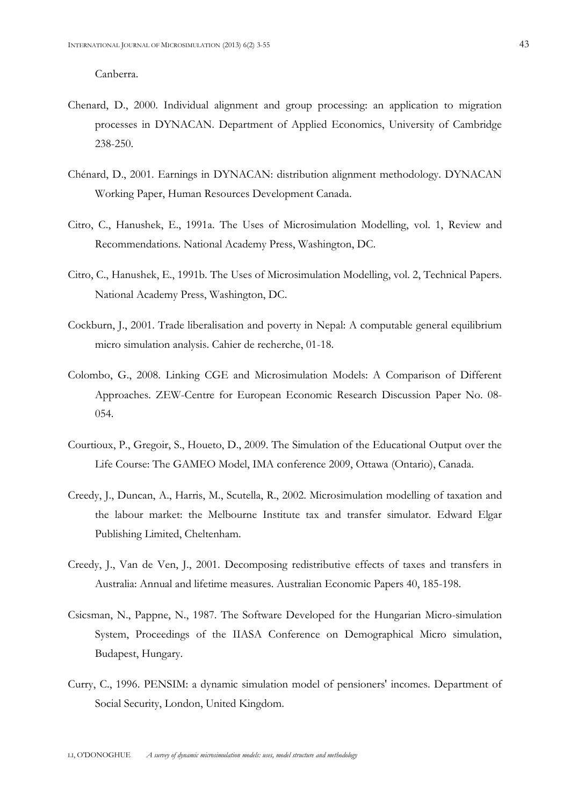Canberra.

- Chenard, D., 2000. Individual alignment and group processing: an application to migration processes in DYNACAN. Department of Applied Economics, University of Cambridge 238-250.
- Chénard, D., 2001. Earnings in DYNACAN: distribution alignment methodology. DYNACAN Working Paper, Human Resources Development Canada.
- Citro, C., Hanushek, E., 1991a. The Uses of Microsimulation Modelling, vol. 1, Review and Recommendations. National Academy Press, Washington, DC.
- Citro, C., Hanushek, E., 1991b. The Uses of Microsimulation Modelling, vol. 2, Technical Papers. National Academy Press, Washington, DC.
- Cockburn, J., 2001. Trade liberalisation and poverty in Nepal: A computable general equilibrium micro simulation analysis. Cahier de recherche, 01-18.
- Colombo, G., 2008. Linking CGE and Microsimulation Models: A Comparison of Different Approaches. ZEW-Centre for European Economic Research Discussion Paper No. 08- 054.
- Courtioux, P., Gregoir, S., Houeto, D., 2009. The Simulation of the Educational Output over the Life Course: The GAMEO Model, IMA conference 2009, Ottawa (Ontario), Canada.
- Creedy, J., Duncan, A., Harris, M., Scutella, R., 2002. Microsimulation modelling of taxation and the labour market: the Melbourne Institute tax and transfer simulator. Edward Elgar Publishing Limited, Cheltenham.
- Creedy, J., Van de Ven, J., 2001. Decomposing redistributive effects of taxes and transfers in Australia: Annual and lifetime measures. Australian Economic Papers 40, 185-198.
- Csicsman, N., Pappne, N., 1987. The Software Developed for the Hungarian Micro-simulation System, Proceedings of the IIASA Conference on Demographical Micro simulation, Budapest, Hungary.
- Curry, C., 1996. PENSIM: a dynamic simulation model of pensioners' incomes. Department of Social Security, London, United Kingdom.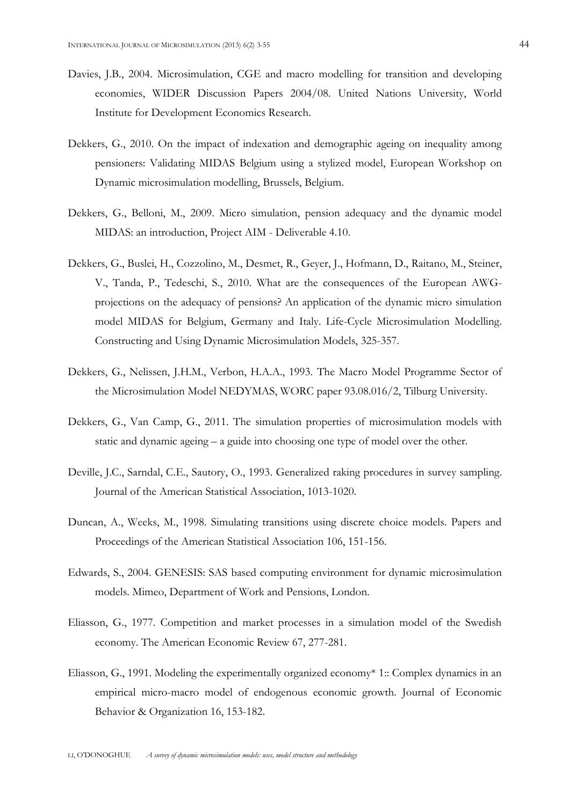- Davies, J.B., 2004. Microsimulation, CGE and macro modelling for transition and developing economies, WIDER Discussion Papers 2004/08. United Nations University, World Institute for Development Economics Research.
- Dekkers, G., 2010. On the impact of indexation and demographic ageing on inequality among pensioners: Validating MIDAS Belgium using a stylized model, European Workshop on Dynamic microsimulation modelling, Brussels, Belgium.
- Dekkers, G., Belloni, M., 2009. Micro simulation, pension adequacy and the dynamic model MIDAS: an introduction, Project AIM - Deliverable 4.10.
- Dekkers, G., Buslei, H., Cozzolino, M., Desmet, R., Geyer, J., Hofmann, D., Raitano, M., Steiner, V., Tanda, P., Tedeschi, S., 2010. What are the consequences of the European AWGprojections on the adequacy of pensions? An application of the dynamic micro simulation model MIDAS for Belgium, Germany and Italy. Life-Cycle Microsimulation Modelling. Constructing and Using Dynamic Microsimulation Models, 325-357.
- Dekkers, G., Nelissen, J.H.M., Verbon, H.A.A., 1993. The Macro Model Programme Sector of the Microsimulation Model NEDYMAS, WORC paper 93.08.016/2, Tilburg University.
- Dekkers, G., Van Camp, G., 2011. The simulation properties of microsimulation models with static and dynamic ageing – a guide into choosing one type of model over the other.
- Deville, J.C., Sarndal, C.E., Sautory, O., 1993. Generalized raking procedures in survey sampling. Journal of the American Statistical Association, 1013-1020.
- Duncan, A., Weeks, M., 1998. Simulating transitions using discrete choice models. Papers and Proceedings of the American Statistical Association 106, 151-156.
- Edwards, S., 2004. GENESIS: SAS based computing environment for dynamic microsimulation models. Mimeo, Department of Work and Pensions, London.
- Eliasson, G., 1977. Competition and market processes in a simulation model of the Swedish economy. The American Economic Review 67, 277-281.
- Eliasson, G., 1991. Modeling the experimentally organized economy\* 1:: Complex dynamics in an empirical micro-macro model of endogenous economic growth. Journal of Economic Behavior & Organization 16, 153-182.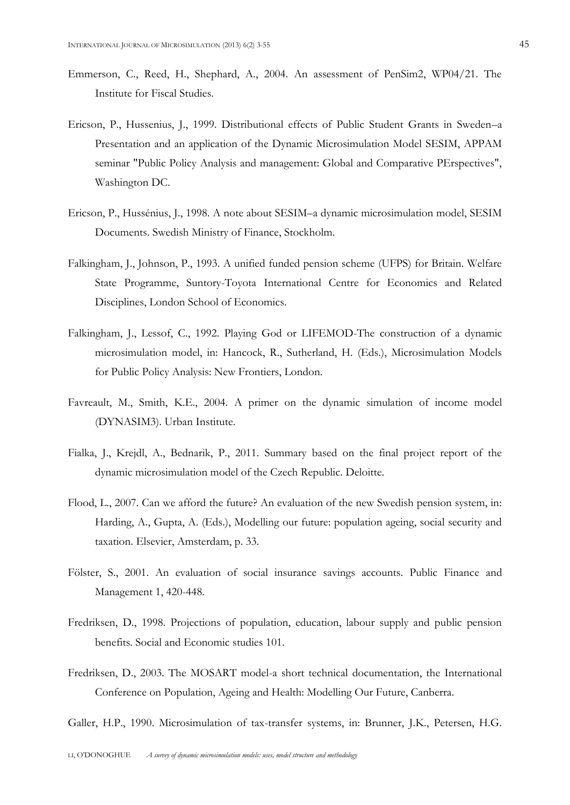- Emmerson, C., Reed, H., Shephard, A., 2004. An assessment of PenSim2, WP04/21. The Institute for Fiscal Studies.
- Ericson, P., Hussenius, J., 1999. Distributional effects of Public Student Grants in Sweden–a Presentation and an application of the Dynamic Microsimulation Model SESIM, APPAM seminar "Public Policy Analysis and management: Global and Comparative PErspectives", Washington DC.
- Ericson, P., Hussénius, J., 1998. A note about SESIM–a dynamic microsimulation model, SESIM Documents. Swedish Ministry of Finance, Stockholm.
- Falkingham, J., Johnson, P., 1993. A unified funded pension scheme (UFPS) for Britain. Welfare State Programme, Suntory-Toyota International Centre for Economics and Related Disciplines, London School of Economics.
- Falkingham, J., Lessof, C., 1992. Playing God or LIFEMOD-The construction of a dynamic microsimulation model, in: Hancock, R., Sutherland, H. (Eds.), Microsimulation Models for Public Policy Analysis: New Frontiers, London.
- Favreault, M., Smith, K.E., 2004. A primer on the dynamic simulation of income model (DYNASIM3). Urban Institute.
- Fialka, J., Krejdl, A., Bednarik, P., 2011. Summary based on the final project report of the dynamic microsimulation model of the Czech Republic. Deloitte.
- Flood, L., 2007. Can we afford the future? An evaluation of the new Swedish pension system, in: Harding, A., Gupta, A. (Eds.), Modelling our future: population ageing, social security and taxation. Elsevier, Amsterdam, p. 33.
- Fölster, S., 2001. An evaluation of social insurance savings accounts. Public Finance and Management 1, 420-448.
- Fredriksen, D., 1998. Projections of population, education, labour supply and public pension benefits. Social and Economic studies 101.
- Fredriksen, D., 2003. The MOSART model-a short technical documentation, the International Conference on Population, Ageing and Health: Modelling Our Future, Canberra.

Galler, H.P., 1990. Microsimulation of tax-transfer systems, in: Brunner, J.K., Petersen, H.G.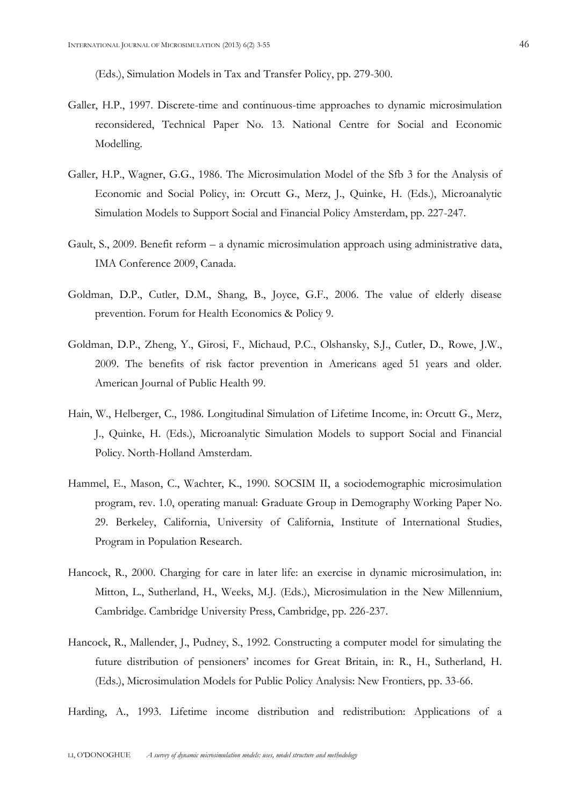(Eds.), Simulation Models in Tax and Transfer Policy, pp. 279-300.

- Galler, H.P., 1997. Discrete-time and continuous-time approaches to dynamic microsimulation reconsidered, Technical Paper No. 13. National Centre for Social and Economic Modelling.
- Galler, H.P., Wagner, G.G., 1986. The Microsimulation Model of the Sfb 3 for the Analysis of Economic and Social Policy, in: Orcutt G., Merz, J., Quinke, H. (Eds.), Microanalytic Simulation Models to Support Social and Financial Policy Amsterdam, pp. 227-247.
- Gault, S., 2009. Benefit reform a dynamic microsimulation approach using administrative data, IMA Conference 2009, Canada.
- Goldman, D.P., Cutler, D.M., Shang, B., Joyce, G.F., 2006. The value of elderly disease prevention. Forum for Health Economics & Policy 9.
- Goldman, D.P., Zheng, Y., Girosi, F., Michaud, P.C., Olshansky, S.J., Cutler, D., Rowe, J.W., 2009. The benefits of risk factor prevention in Americans aged 51 years and older. American Journal of Public Health 99.
- Hain, W., Helberger, C., 1986. Longitudinal Simulation of Lifetime Income, in: Orcutt G., Merz, J., Quinke, H. (Eds.), Microanalytic Simulation Models to support Social and Financial Policy. North-Holland Amsterdam.
- Hammel, E., Mason, C., Wachter, K., 1990. SOCSIM II, a sociodemographic microsimulation program, rev. 1.0, operating manual: Graduate Group in Demography Working Paper No. 29. Berkeley, California, University of California, Institute of International Studies, Program in Population Research.
- Hancock, R., 2000. Charging for care in later life: an exercise in dynamic microsimulation, in: Mitton, L., Sutherland, H., Weeks, M.J. (Eds.), Microsimulation in the New Millennium, Cambridge. Cambridge University Press, Cambridge, pp. 226-237.
- Hancock, R., Mallender, J., Pudney, S., 1992. Constructing a computer model for simulating the future distribution of pensioners' incomes for Great Britain, in: R., H., Sutherland, H. (Eds.), Microsimulation Models for Public Policy Analysis: New Frontiers, pp. 33-66.

Harding, A., 1993. Lifetime income distribution and redistribution: Applications of a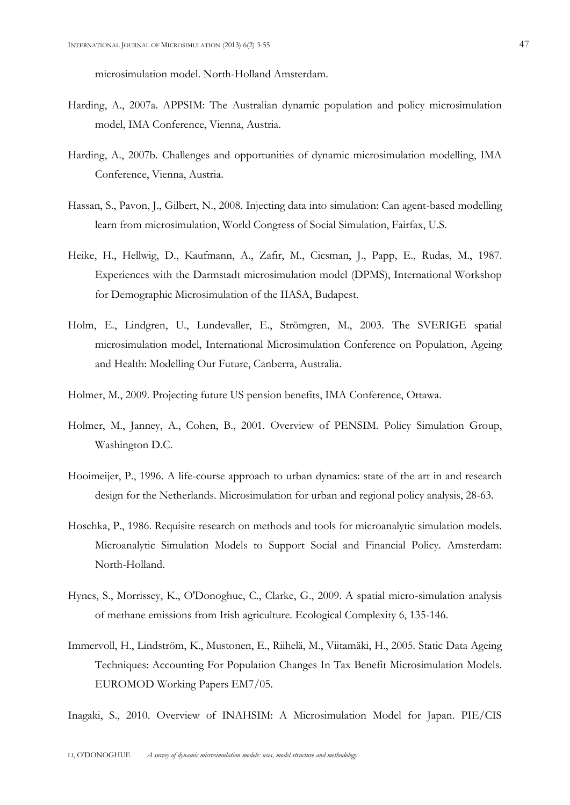microsimulation model. North-Holland Amsterdam.

- Harding, A., 2007a. APPSIM: The Australian dynamic population and policy microsimulation model, IMA Conference, Vienna, Austria.
- Harding, A., 2007b. Challenges and opportunities of dynamic microsimulation modelling, IMA Conference, Vienna, Austria.
- Hassan, S., Pavon, J., Gilbert, N., 2008. Injecting data into simulation: Can agent-based modelling learn from microsimulation, World Congress of Social Simulation, Fairfax, U.S.
- Heike, H., Hellwig, D., Kaufmann, A., Zafir, M., Cicsman, J., Papp, E., Rudas, M., 1987. Experiences with the Darmstadt microsimulation model (DPMS), International Workshop for Demographic Microsimulation of the IIASA, Budapest.
- Holm, E., Lindgren, U., Lundevaller, E., Strömgren, M., 2003. The SVERIGE spatial microsimulation model, International Microsimulation Conference on Population, Ageing and Health: Modelling Our Future, Canberra, Australia.
- Holmer, M., 2009. Projecting future US pension benefits, IMA Conference, Ottawa.
- Holmer, M., Janney, A., Cohen, B., 2001. Overview of PENSIM. Policy Simulation Group, Washington D.C.
- Hooimeijer, P., 1996. A life-course approach to urban dynamics: state of the art in and research design for the Netherlands. Microsimulation for urban and regional policy analysis, 28-63.
- Hoschka, P., 1986. Requisite research on methods and tools for microanalytic simulation models. Microanalytic Simulation Models to Support Social and Financial Policy. Amsterdam: North-Holland.
- Hynes, S., Morrissey, K., O'Donoghue, C., Clarke, G., 2009. A spatial micro-simulation analysis of methane emissions from Irish agriculture. Ecological Complexity 6, 135-146.
- Immervoll, H., Lindström, K., Mustonen, E., Riihelä, M., Viitamäki, H., 2005. Static Data Ageing Techniques: Accounting For Population Changes In Tax Benefit Microsimulation Models. EUROMOD Working Papers EM7/05.

Inagaki, S., 2010. Overview of INAHSIM: A Microsimulation Model for Japan. PIE/CIS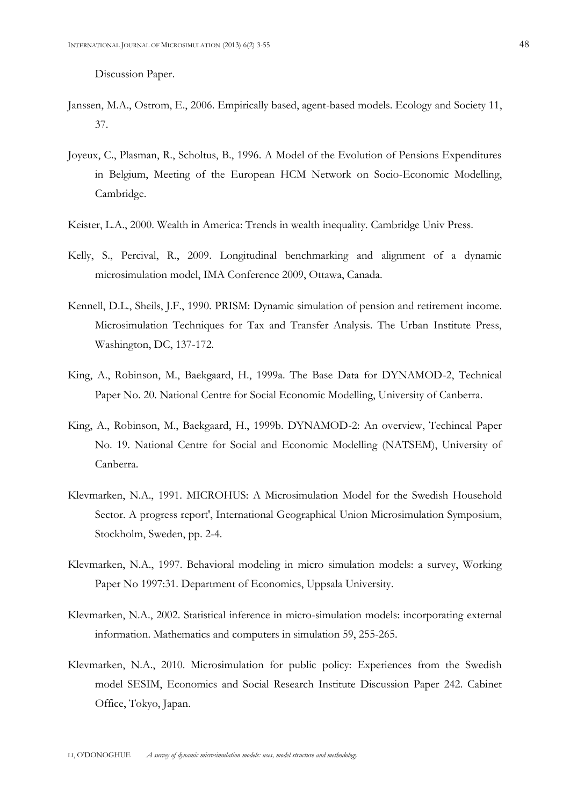Discussion Paper.

- Janssen, M.A., Ostrom, E., 2006. Empirically based, agent-based models. Ecology and Society 11, 37.
- Joyeux, C., Plasman, R., Scholtus, B., 1996. A Model of the Evolution of Pensions Expenditures in Belgium, Meeting of the European HCM Network on Socio-Economic Modelling, Cambridge.
- Keister, L.A., 2000. Wealth in America: Trends in wealth inequality. Cambridge Univ Press.
- Kelly, S., Percival, R., 2009. Longitudinal benchmarking and alignment of a dynamic microsimulation model, IMA Conference 2009, Ottawa, Canada.
- Kennell, D.L., Sheils, J.F., 1990. PRISM: Dynamic simulation of pension and retirement income. Microsimulation Techniques for Tax and Transfer Analysis. The Urban Institute Press, Washington, DC, 137-172.
- King, A., Robinson, M., Baekgaard, H., 1999a. The Base Data for DYNAMOD-2, Technical Paper No. 20. National Centre for Social Economic Modelling, University of Canberra.
- King, A., Robinson, M., Baekgaard, H., 1999b. DYNAMOD-2: An overview, Techincal Paper No. 19. National Centre for Social and Economic Modelling (NATSEM), University of Canberra.
- Klevmarken, N.A., 1991. MICROHUS: A Microsimulation Model for the Swedish Household Sector. A progress report', International Geographical Union Microsimulation Symposium, Stockholm, Sweden, pp. 2-4.
- Klevmarken, N.A., 1997. Behavioral modeling in micro simulation models: a survey, Working Paper No 1997:31. Department of Economics, Uppsala University.
- Klevmarken, N.A., 2002. Statistical inference in micro-simulation models: incorporating external information. Mathematics and computers in simulation 59, 255-265.
- Klevmarken, N.A., 2010. Microsimulation for public policy: Experiences from the Swedish model SESIM, Economics and Social Research Institute Discussion Paper 242. Cabinet Office, Tokyo, Japan.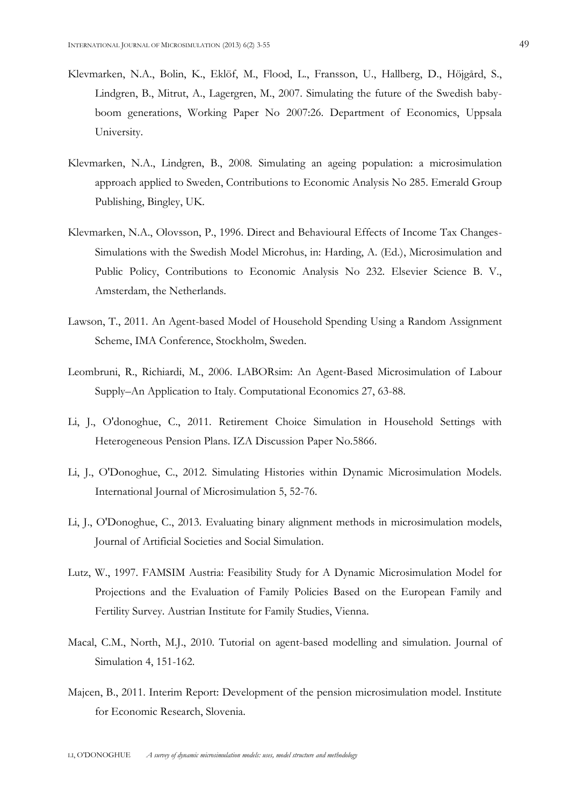- Klevmarken, N.A., Bolin, K., Eklöf, M., Flood, L., Fransson, U., Hallberg, D., Höjgård, S., Lindgren, B., Mitrut, A., Lagergren, M., 2007. Simulating the future of the Swedish babyboom generations, Working Paper No 2007:26. Department of Economics, Uppsala University.
- Klevmarken, N.A., Lindgren, B., 2008. Simulating an ageing population: a microsimulation approach applied to Sweden, Contributions to Economic Analysis No 285. Emerald Group Publishing, Bingley, UK.
- Klevmarken, N.A., Olovsson, P., 1996. Direct and Behavioural Effects of Income Tax Changes-Simulations with the Swedish Model Microhus, in: Harding, A. (Ed.), Microsimulation and Public Policy, Contributions to Economic Analysis No 232. Elsevier Science B. V., Amsterdam, the Netherlands.
- Lawson, T., 2011. An Agent-based Model of Household Spending Using a Random Assignment Scheme, IMA Conference, Stockholm, Sweden.
- Leombruni, R., Richiardi, M., 2006. LABORsim: An Agent-Based Microsimulation of Labour Supply–An Application to Italy. Computational Economics 27, 63-88.
- Li, J., O'donoghue, C., 2011. Retirement Choice Simulation in Household Settings with Heterogeneous Pension Plans. IZA Discussion Paper No.5866.
- Li, J., O'Donoghue, C., 2012. Simulating Histories within Dynamic Microsimulation Models. International Journal of Microsimulation 5, 52-76.
- Li, J., O'Donoghue, C., 2013. Evaluating binary alignment methods in microsimulation models, Journal of Artificial Societies and Social Simulation.
- Lutz, W., 1997. FAMSIM Austria: Feasibility Study for A Dynamic Microsimulation Model for Projections and the Evaluation of Family Policies Based on the European Family and Fertility Survey. Austrian Institute for Family Studies, Vienna.
- Macal, C.M., North, M.J., 2010. Tutorial on agent-based modelling and simulation. Journal of Simulation 4, 151-162.
- Majcen, B., 2011. Interim Report: Development of the pension microsimulation model. Institute for Economic Research, Slovenia.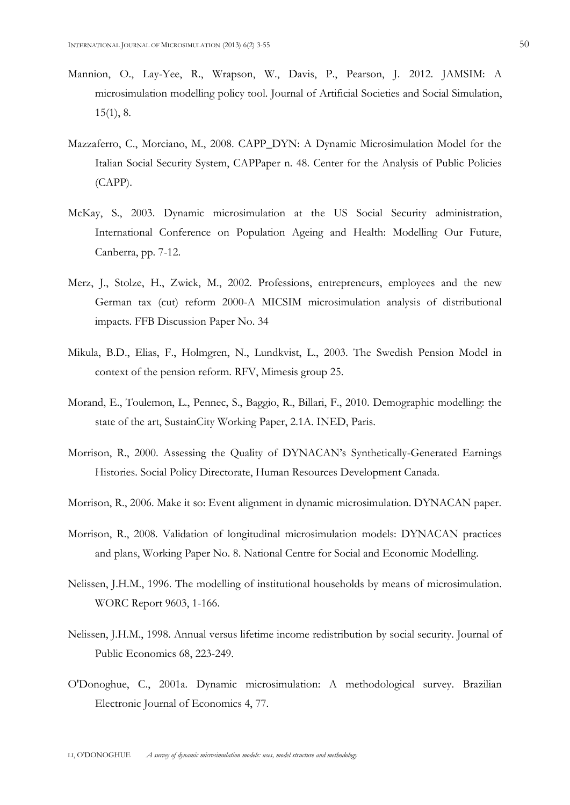- Mannion, O., Lay-Yee, R., Wrapson, W., Davis, P., Pearson, J. 2012. JAMSIM: A microsimulation modelling policy tool. Journal of Artificial Societies and Social Simulation, 15(1), 8.
- Mazzaferro, C., Morciano, M., 2008. CAPP\_DYN: A Dynamic Microsimulation Model for the Italian Social Security System, CAPPaper n. 48. Center for the Analysis of Public Policies (CAPP).
- McKay, S., 2003. Dynamic microsimulation at the US Social Security administration, International Conference on Population Ageing and Health: Modelling Our Future, Canberra, pp. 7-12.
- Merz, J., Stolze, H., Zwick, M., 2002. Professions, entrepreneurs, employees and the new German tax (cut) reform 2000-A MICSIM microsimulation analysis of distributional impacts. FFB Discussion Paper No. 34
- Mikula, B.D., Elias, F., Holmgren, N., Lundkvist, L., 2003. The Swedish Pension Model in context of the pension reform. RFV, Mimesis group 25.
- Morand, E., Toulemon, L., Pennec, S., Baggio, R., Billari, F., 2010. Demographic modelling: the state of the art, SustainCity Working Paper, 2.1A. INED, Paris.
- Morrison, R., 2000. Assessing the Quality of DYNACAN's Synthetically-Generated Earnings Histories. Social Policy Directorate, Human Resources Development Canada.
- Morrison, R., 2006. Make it so: Event alignment in dynamic microsimulation. DYNACAN paper.
- Morrison, R., 2008. Validation of longitudinal microsimulation models: DYNACAN practices and plans, Working Paper No. 8. National Centre for Social and Economic Modelling.
- Nelissen, J.H.M., 1996. The modelling of institutional households by means of microsimulation. WORC Report 9603, 1-166.
- Nelissen, J.H.M., 1998. Annual versus lifetime income redistribution by social security. Journal of Public Economics 68, 223-249.
- O'Donoghue, C., 2001a. Dynamic microsimulation: A methodological survey. Brazilian Electronic Journal of Economics 4, 77.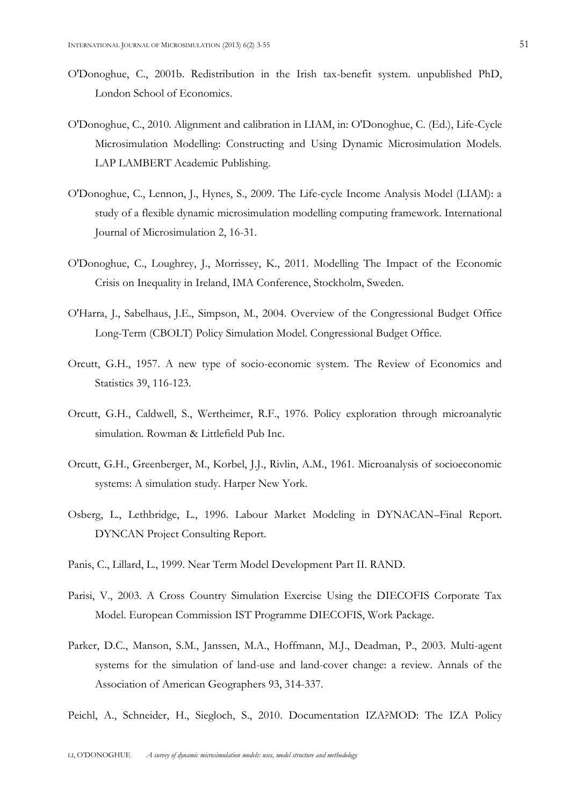- O'Donoghue, C., 2001b. Redistribution in the Irish tax-benefit system. unpublished PhD, London School of Economics.
- O'Donoghue, C., 2010. Alignment and calibration in LIAM, in: O'Donoghue, C. (Ed.), Life-Cycle Microsimulation Modelling: Constructing and Using Dynamic Microsimulation Models. LAP LAMBERT Academic Publishing.
- O'Donoghue, C., Lennon, J., Hynes, S., 2009. The Life-cycle Income Analysis Model (LIAM): a study of a flexible dynamic microsimulation modelling computing framework. International Journal of Microsimulation 2, 16-31.
- O'Donoghue, C., Loughrey, J., Morrissey, K., 2011. Modelling The Impact of the Economic Crisis on Inequality in Ireland, IMA Conference, Stockholm, Sweden.
- O'Harra, J., Sabelhaus, J.E., Simpson, M., 2004. Overview of the Congressional Budget Office Long-Term (CBOLT) Policy Simulation Model. Congressional Budget Office.
- Orcutt, G.H., 1957. A new type of socio-economic system. The Review of Economics and Statistics 39, 116-123.
- Orcutt, G.H., Caldwell, S., Wertheimer, R.F., 1976. Policy exploration through microanalytic simulation. Rowman & Littlefield Pub Inc.
- Orcutt, G.H., Greenberger, M., Korbel, J.J., Rivlin, A.M., 1961. Microanalysis of socioeconomic systems: A simulation study. Harper New York.
- Osberg, L., Lethbridge, L., 1996. Labour Market Modeling in DYNACAN–Final Report. DYNCAN Project Consulting Report.
- Panis, C., Lillard, L., 1999. Near Term Model Development Part II. RAND.
- Parisi, V., 2003. A Cross Country Simulation Exercise Using the DIECOFIS Corporate Tax Model. European Commission IST Programme DIECOFIS, Work Package.
- Parker, D.C., Manson, S.M., Janssen, M.A., Hoffmann, M.J., Deadman, P., 2003. Multi-agent systems for the simulation of land-use and land-cover change: a review. Annals of the Association of American Geographers 93, 314-337.
- Peichl, A., Schneider, H., Siegloch, S., 2010. Documentation IZA?MOD: The IZA Policy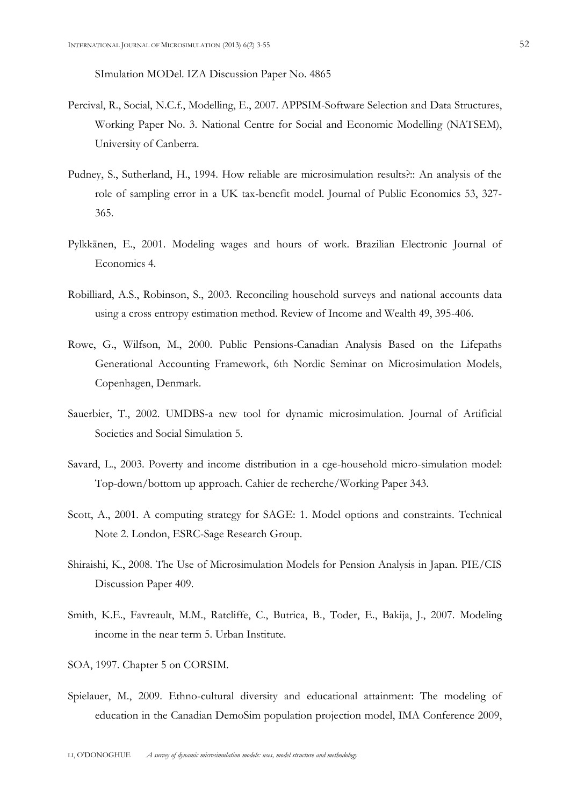SImulation MODel. IZA Discussion Paper No. 4865

- Percival, R., Social, N.C.f., Modelling, E., 2007. APPSIM-Software Selection and Data Structures, Working Paper No. 3. National Centre for Social and Economic Modelling (NATSEM), University of Canberra.
- Pudney, S., Sutherland, H., 1994. How reliable are microsimulation results?:: An analysis of the role of sampling error in a UK tax-benefit model. Journal of Public Economics 53, 327- 365.
- Pylkkänen, E., 2001. Modeling wages and hours of work. Brazilian Electronic Journal of Economics 4.
- Robilliard, A.S., Robinson, S., 2003. Reconciling household surveys and national accounts data using a cross entropy estimation method. Review of Income and Wealth 49, 395-406.
- Rowe, G., Wilfson, M., 2000. Public Pensions-Canadian Analysis Based on the Lifepaths Generational Accounting Framework, 6th Nordic Seminar on Microsimulation Models, Copenhagen, Denmark.
- Sauerbier, T., 2002. UMDBS-a new tool for dynamic microsimulation. Journal of Artificial Societies and Social Simulation 5.
- Savard, L., 2003. Poverty and income distribution in a cge-household micro-simulation model: Top-down/bottom up approach. Cahier de recherche/Working Paper 343.
- Scott, A., 2001. A computing strategy for SAGE: 1. Model options and constraints. Technical Note 2. London, ESRC-Sage Research Group.
- Shiraishi, K., 2008. The Use of Microsimulation Models for Pension Analysis in Japan. PIE/CIS Discussion Paper 409.
- Smith, K.E., Favreault, M.M., Ratcliffe, C., Butrica, B., Toder, E., Bakija, J., 2007. Modeling income in the near term 5. Urban Institute.
- SOA, 1997. Chapter 5 on CORSIM.
- Spielauer, M., 2009. Ethno-cultural diversity and educational attainment: The modeling of education in the Canadian DemoSim population projection model, IMA Conference 2009,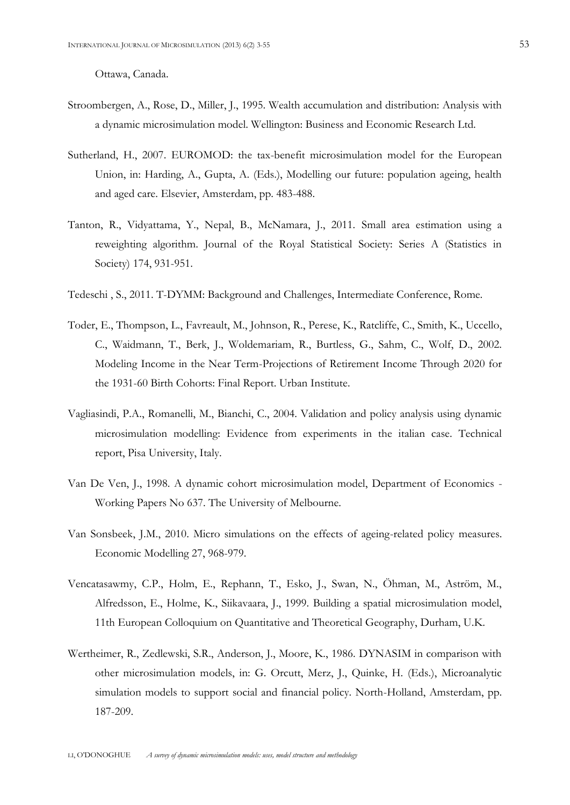Ottawa, Canada.

- Stroombergen, A., Rose, D., Miller, J., 1995. Wealth accumulation and distribution: Analysis with a dynamic microsimulation model. Wellington: Business and Economic Research Ltd.
- Sutherland, H., 2007. EUROMOD: the tax-benefit microsimulation model for the European Union, in: Harding, A., Gupta, A. (Eds.), Modelling our future: population ageing, health and aged care. Elsevier, Amsterdam, pp. 483-488.
- Tanton, R., Vidyattama, Y., Nepal, B., McNamara, J., 2011. Small area estimation using a reweighting algorithm. Journal of the Royal Statistical Society: Series A (Statistics in Society) 174, 931-951.
- Tedeschi , S., 2011. T-DYMM: Background and Challenges, Intermediate Conference, Rome.
- Toder, E., Thompson, L., Favreault, M., Johnson, R., Perese, K., Ratcliffe, C., Smith, K., Uccello, C., Waidmann, T., Berk, J., Woldemariam, R., Burtless, G., Sahm, C., Wolf, D., 2002. Modeling Income in the Near Term-Projections of Retirement Income Through 2020 for the 1931-60 Birth Cohorts: Final Report. Urban Institute.
- Vagliasindi, P.A., Romanelli, M., Bianchi, C., 2004. Validation and policy analysis using dynamic microsimulation modelling: Evidence from experiments in the italian case. Technical report, Pisa University, Italy.
- Van De Ven, J., 1998. A dynamic cohort microsimulation model, Department of Economics Working Papers No 637. The University of Melbourne.
- Van Sonsbeek, J.M., 2010. Micro simulations on the effects of ageing-related policy measures. Economic Modelling 27, 968-979.
- Vencatasawmy, C.P., Holm, E., Rephann, T., Esko, J., Swan, N., Öhman, M., Aström, M., Alfredsson, E., Holme, K., Siikavaara, J., 1999. Building a spatial microsimulation model, 11th European Colloquium on Quantitative and Theoretical Geography, Durham, U.K.
- Wertheimer, R., Zedlewski, S.R., Anderson, J., Moore, K., 1986. DYNASIM in comparison with other microsimulation models, in: G. Orcutt, Merz, J., Quinke, H. (Eds.), Microanalytic simulation models to support social and financial policy. North-Holland, Amsterdam, pp. 187-209.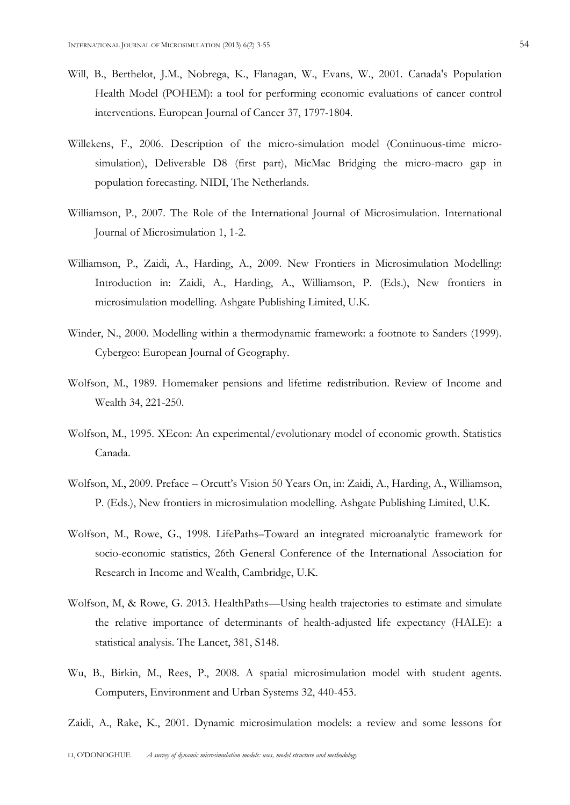- Will, B., Berthelot, J.M., Nobrega, K., Flanagan, W., Evans, W., 2001. Canada's Population Health Model (POHEM): a tool for performing economic evaluations of cancer control interventions. European Journal of Cancer 37, 1797-1804.
- Willekens, F., 2006. Description of the micro-simulation model (Continuous-time microsimulation), Deliverable D8 (first part), MicMac Bridging the micro-macro gap in population forecasting. NIDI, The Netherlands.
- Williamson, P., 2007. The Role of the International Journal of Microsimulation. International Journal of Microsimulation 1, 1-2.
- Williamson, P., Zaidi, A., Harding, A., 2009. New Frontiers in Microsimulation Modelling: Introduction in: Zaidi, A., Harding, A., Williamson, P. (Eds.), New frontiers in microsimulation modelling. Ashgate Publishing Limited, U.K.
- Winder, N., 2000. Modelling within a thermodynamic framework: a footnote to Sanders (1999). Cybergeo: European Journal of Geography.
- Wolfson, M., 1989. Homemaker pensions and lifetime redistribution. Review of Income and Wealth 34, 221-250.
- Wolfson, M., 1995. XEcon: An experimental/evolutionary model of economic growth. Statistics Canada.
- Wolfson, M., 2009. Preface Orcutt's Vision 50 Years On, in: Zaidi, A., Harding, A., Williamson, P. (Eds.), New frontiers in microsimulation modelling. Ashgate Publishing Limited, U.K.
- Wolfson, M., Rowe, G., 1998. LifePaths–Toward an integrated microanalytic framework for socio-economic statistics, 26th General Conference of the International Association for Research in Income and Wealth, Cambridge, U.K.
- Wolfson, M, & Rowe, G. 2013. HealthPaths—Using health trajectories to estimate and simulate the relative importance of determinants of health-adjusted life expectancy (HALE): a statistical analysis. The Lancet, 381, S148.
- Wu, B., Birkin, M., Rees, P., 2008. A spatial microsimulation model with student agents. Computers, Environment and Urban Systems 32, 440-453.
- Zaidi, A., Rake, K., 2001. Dynamic microsimulation models: a review and some lessons for